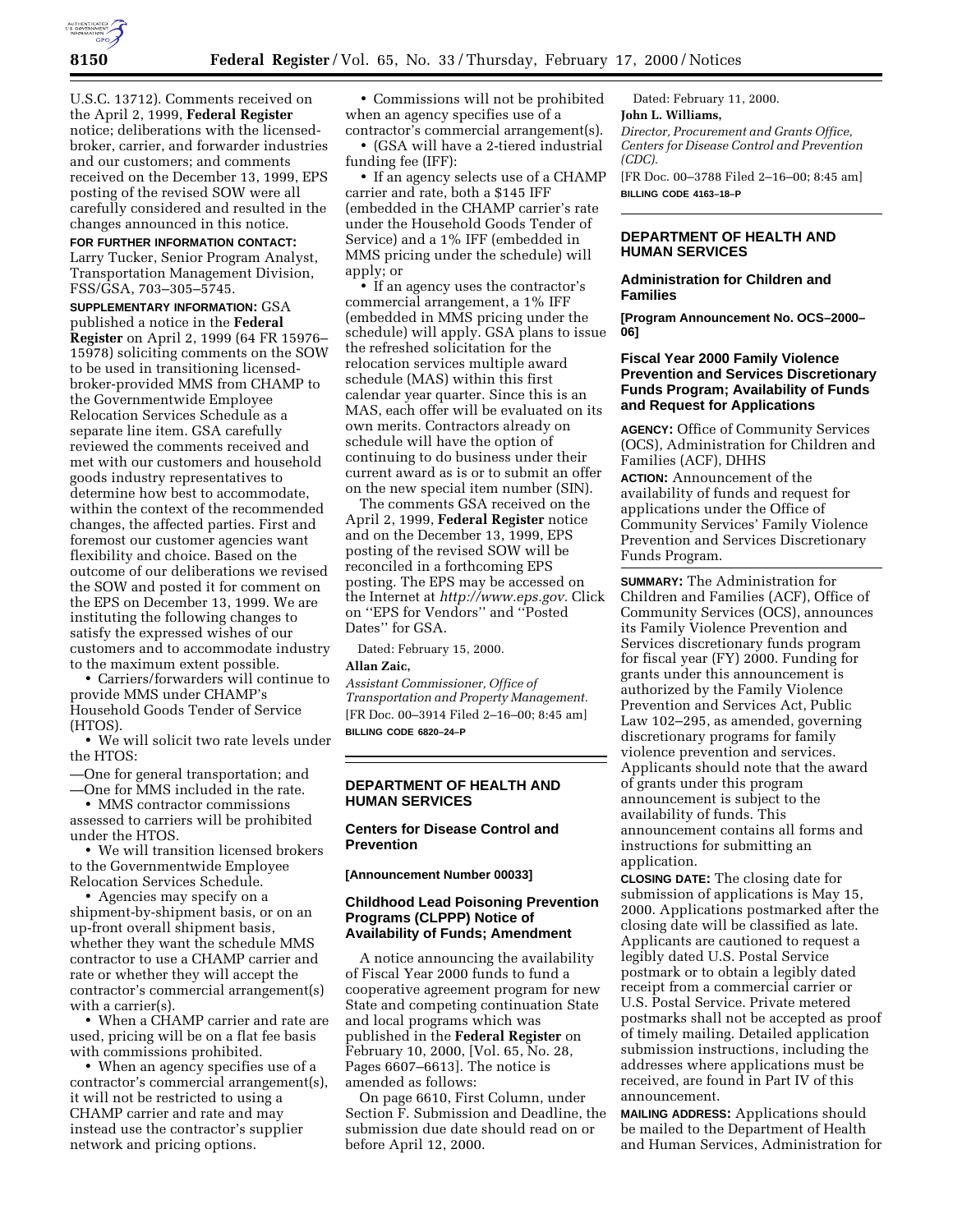

U.S.C. 13712). Comments received on the April 2, 1999, **Federal Register** notice; deliberations with the licensedbroker, carrier, and forwarder industries and our customers; and comments received on the December 13, 1999, EPS posting of the revised SOW were all carefully considered and resulted in the changes announced in this notice.

#### **FOR FURTHER INFORMATION CONTACT:**

Larry Tucker, Senior Program Analyst, Transportation Management Division, FSS/GSA, 703–305–5745.

**SUPPLEMENTARY INFORMATION:** GSA published a notice in the **Federal Register** on April 2, 1999 (64 FR 15976– 15978) soliciting comments on the SOW to be used in transitioning licensedbroker-provided MMS from CHAMP to the Governmentwide Employee Relocation Services Schedule as a separate line item. GSA carefully reviewed the comments received and met with our customers and household goods industry representatives to determine how best to accommodate, within the context of the recommended changes, the affected parties. First and foremost our customer agencies want flexibility and choice. Based on the outcome of our deliberations we revised the SOW and posted it for comment on the EPS on December 13, 1999. We are instituting the following changes to satisfy the expressed wishes of our customers and to accommodate industry to the maximum extent possible.

• Carriers/forwarders will continue to provide MMS under CHAMP's Household Goods Tender of Service (HTOS).

• We will solicit two rate levels under the HTOS:

—One for general transportation; and

—One for MMS included in the rate.

• MMS contractor commissions assessed to carriers will be prohibited under the HTOS.

• We will transition licensed brokers to the Governmentwide Employee Relocation Services Schedule.

• Agencies may specify on a shipment-by-shipment basis, or on an up-front overall shipment basis, whether they want the schedule MMS contractor to use a CHAMP carrier and rate or whether they will accept the contractor's commercial arrangement(s) with a carrier(s).

• When a CHAMP carrier and rate are used, pricing will be on a flat fee basis with commissions prohibited.

• When an agency specifies use of a contractor's commercial arrangement(s), it will not be restricted to using a CHAMP carrier and rate and may instead use the contractor's supplier network and pricing options.

• Commissions will not be prohibited when an agency specifies use of a contractor's commercial arrangement(s).

• (GSA will have a 2-tiered industrial funding fee (IFF):

• If an agency selects use of a CHAMP carrier and rate, both a \$145 IFF (embedded in the CHAMP carrier's rate under the Household Goods Tender of Service) and a 1% IFF (embedded in MMS pricing under the schedule) will apply; or

• If an agency uses the contractor's commercial arrangement, a 1% IFF (embedded in MMS pricing under the schedule) will apply. GSA plans to issue the refreshed solicitation for the relocation services multiple award schedule (MAS) within this first calendar year quarter. Since this is an MAS, each offer will be evaluated on its own merits. Contractors already on schedule will have the option of continuing to do business under their current award as is or to submit an offer on the new special item number (SIN).

The comments GSA received on the April 2, 1999, **Federal Register** notice and on the December 13, 1999, EPS posting of the revised SOW will be reconciled in a forthcoming EPS posting. The EPS may be accessed on the Internet at *http://www.eps.gov.* Click on ''EPS for Vendors'' and ''Posted Dates'' for GSA.

Dated: February 15, 2000.

## **Allan Zaic,**

*Assistant Commissioner, Office of Transportation and Property Management.* [FR Doc. 00–3914 Filed 2–16–00; 8:45 am] **BILLING CODE 6820–24–P**

### **DEPARTMENT OF HEALTH AND HUMAN SERVICES**

## **Centers for Disease Control and Prevention**

**[Announcement Number 00033]**

### **Childhood Lead Poisoning Prevention Programs (CLPPP) Notice of Availability of Funds; Amendment**

A notice announcing the availability of Fiscal Year 2000 funds to fund a cooperative agreement program for new State and competing continuation State and local programs which was published in the **Federal Register** on February 10, 2000, [Vol. 65, No. 28, Pages 6607–6613]. The notice is amended as follows:

On page 6610, First Column, under Section F. Submission and Deadline, the submission due date should read on or before April 12, 2000.

Dated: February 11, 2000. **John L. Williams,** *Director, Procurement and Grants Office, Centers for Disease Control and Prevention (CDC).* [FR Doc. 00–3788 Filed 2–16–00; 8:45 am] **BILLING CODE 4163–18–P**

### **DEPARTMENT OF HEALTH AND HUMAN SERVICES**

### **Administration for Children and Families**

**[Program Announcement No. OCS–2000– 06]**

## **Fiscal Year 2000 Family Violence Prevention and Services Discretionary Funds Program; Availability of Funds and Request for Applications**

**AGENCY:** Office of Community Services (OCS), Administration for Children and Families (ACF), DHHS

**ACTION:** Announcement of the availability of funds and request for applications under the Office of Community Services' Family Violence Prevention and Services Discretionary Funds Program.

**SUMMARY:** The Administration for Children and Families (ACF), Office of Community Services (OCS), announces its Family Violence Prevention and Services discretionary funds program for fiscal year (FY) 2000. Funding for grants under this announcement is authorized by the Family Violence Prevention and Services Act, Public Law 102–295, as amended, governing discretionary programs for family violence prevention and services. Applicants should note that the award of grants under this program announcement is subject to the availability of funds. This announcement contains all forms and instructions for submitting an application.

**CLOSING DATE:** The closing date for submission of applications is May 15, 2000. Applications postmarked after the closing date will be classified as late. Applicants are cautioned to request a legibly dated U.S. Postal Service postmark or to obtain a legibly dated receipt from a commercial carrier or U.S. Postal Service. Private metered postmarks shall not be accepted as proof of timely mailing. Detailed application submission instructions, including the addresses where applications must be received, are found in Part IV of this announcement.

**MAILING ADDRESS:** Applications should be mailed to the Department of Health and Human Services, Administration for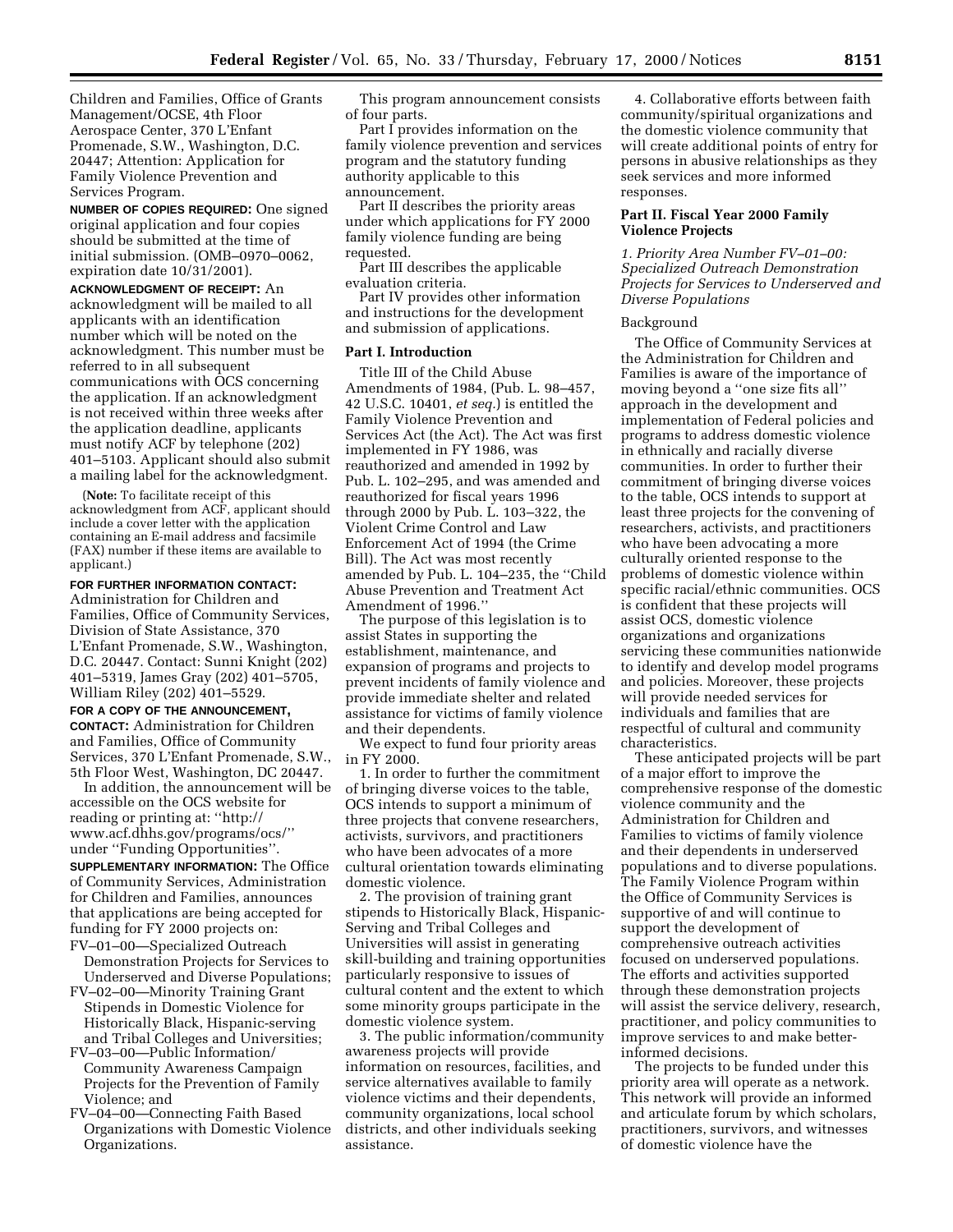Children and Families, Office of Grants Management/OCSE, 4th Floor Aerospace Center, 370 L'Enfant Promenade, S.W., Washington, D.C. 20447; Attention: Application for Family Violence Prevention and Services Program.

**NUMBER OF COPIES REQUIRED:** One signed original application and four copies should be submitted at the time of initial submission. (OMB–0970–0062, expiration date 10/31/2001).

**ACKNOWLEDGMENT OF RECEIPT:** An acknowledgment will be mailed to all applicants with an identification number which will be noted on the acknowledgment. This number must be referred to in all subsequent communications with OCS concerning the application. If an acknowledgment is not received within three weeks after the application deadline, applicants must notify ACF by telephone (202) 401–5103. Applicant should also submit a mailing label for the acknowledgment.

(**Note:** To facilitate receipt of this acknowledgment from ACF, applicant should include a cover letter with the application containing an E-mail address and facsimile (FAX) number if these items are available to applicant.)

#### **FOR FURTHER INFORMATION CONTACT:**

Administration for Children and Families, Office of Community Services, Division of State Assistance, 370 L'Enfant Promenade, S.W., Washington, D.C. 20447. Contact: Sunni Knight (202) 401–5319, James Gray (202) 401–5705, William Riley (202) 401–5529.

**FOR A COPY OF THE ANNOUNCEMENT, CONTACT:** Administration for Children and Families, Office of Community Services, 370 L'Enfant Promenade, S.W., 5th Floor West, Washington, DC 20447.

In addition, the announcement will be accessible on the OCS website for reading or printing at: ''http:// www.acf.dhhs.gov/programs/ocs/'' under ''Funding Opportunities''.

**SUPPLEMENTARY INFORMATION:** The Office of Community Services, Administration for Children and Families, announces that applications are being accepted for funding for FY 2000 projects on:

FV–01–00—Specialized Outreach Demonstration Projects for Services to Underserved and Diverse Populations;

- FV–02–00—Minority Training Grant Stipends in Domestic Violence for Historically Black, Hispanic-serving and Tribal Colleges and Universities;
- FV–03–00—Public Information/ Community Awareness Campaign Projects for the Prevention of Family Violence; and
- FV–04–00—Connecting Faith Based Organizations with Domestic Violence Organizations.

This program announcement consists of four parts.

Part I provides information on the family violence prevention and services program and the statutory funding authority applicable to this announcement.

Part II describes the priority areas under which applications for FY 2000 family violence funding are being requested.

Part III describes the applicable evaluation criteria.

Part IV provides other information and instructions for the development and submission of applications.

#### **Part I. Introduction**

Title III of the Child Abuse Amendments of 1984, (Pub. L. 98–457, 42 U.S.C. 10401, *et seq.*) is entitled the Family Violence Prevention and Services Act (the Act). The Act was first implemented in FY 1986, was reauthorized and amended in 1992 by Pub. L. 102–295, and was amended and reauthorized for fiscal years 1996 through 2000 by Pub. L. 103–322, the Violent Crime Control and Law Enforcement Act of 1994 (the Crime Bill). The Act was most recently amended by Pub. L. 104–235, the ''Child Abuse Prevention and Treatment Act Amendment of 1996.''

The purpose of this legislation is to assist States in supporting the establishment, maintenance, and expansion of programs and projects to prevent incidents of family violence and provide immediate shelter and related assistance for victims of family violence and their dependents.

We expect to fund four priority areas in FY 2000.

1. In order to further the commitment of bringing diverse voices to the table, OCS intends to support a minimum of three projects that convene researchers, activists, survivors, and practitioners who have been advocates of a more cultural orientation towards eliminating domestic violence.

2. The provision of training grant stipends to Historically Black, Hispanic-Serving and Tribal Colleges and Universities will assist in generating skill-building and training opportunities particularly responsive to issues of cultural content and the extent to which some minority groups participate in the domestic violence system.

3. The public information/community awareness projects will provide information on resources, facilities, and service alternatives available to family violence victims and their dependents, community organizations, local school districts, and other individuals seeking assistance.

4. Collaborative efforts between faith community/spiritual organizations and the domestic violence community that will create additional points of entry for persons in abusive relationships as they seek services and more informed responses.

### **Part II. Fiscal Year 2000 Family Violence Projects**

*1. Priority Area Number FV–01–00: Specialized Outreach Demonstration Projects for Services to Underserved and Diverse Populations*

### Background

The Office of Community Services at the Administration for Children and Families is aware of the importance of moving beyond a ''one size fits all'' approach in the development and implementation of Federal policies and programs to address domestic violence in ethnically and racially diverse communities. In order to further their commitment of bringing diverse voices to the table, OCS intends to support at least three projects for the convening of researchers, activists, and practitioners who have been advocating a more culturally oriented response to the problems of domestic violence within specific racial/ethnic communities. OCS is confident that these projects will assist OCS, domestic violence organizations and organizations servicing these communities nationwide to identify and develop model programs and policies. Moreover, these projects will provide needed services for individuals and families that are respectful of cultural and community characteristics.

These anticipated projects will be part of a major effort to improve the comprehensive response of the domestic violence community and the Administration for Children and Families to victims of family violence and their dependents in underserved populations and to diverse populations. The Family Violence Program within the Office of Community Services is supportive of and will continue to support the development of comprehensive outreach activities focused on underserved populations. The efforts and activities supported through these demonstration projects will assist the service delivery, research, practitioner, and policy communities to improve services to and make betterinformed decisions.

The projects to be funded under this priority area will operate as a network. This network will provide an informed and articulate forum by which scholars, practitioners, survivors, and witnesses of domestic violence have the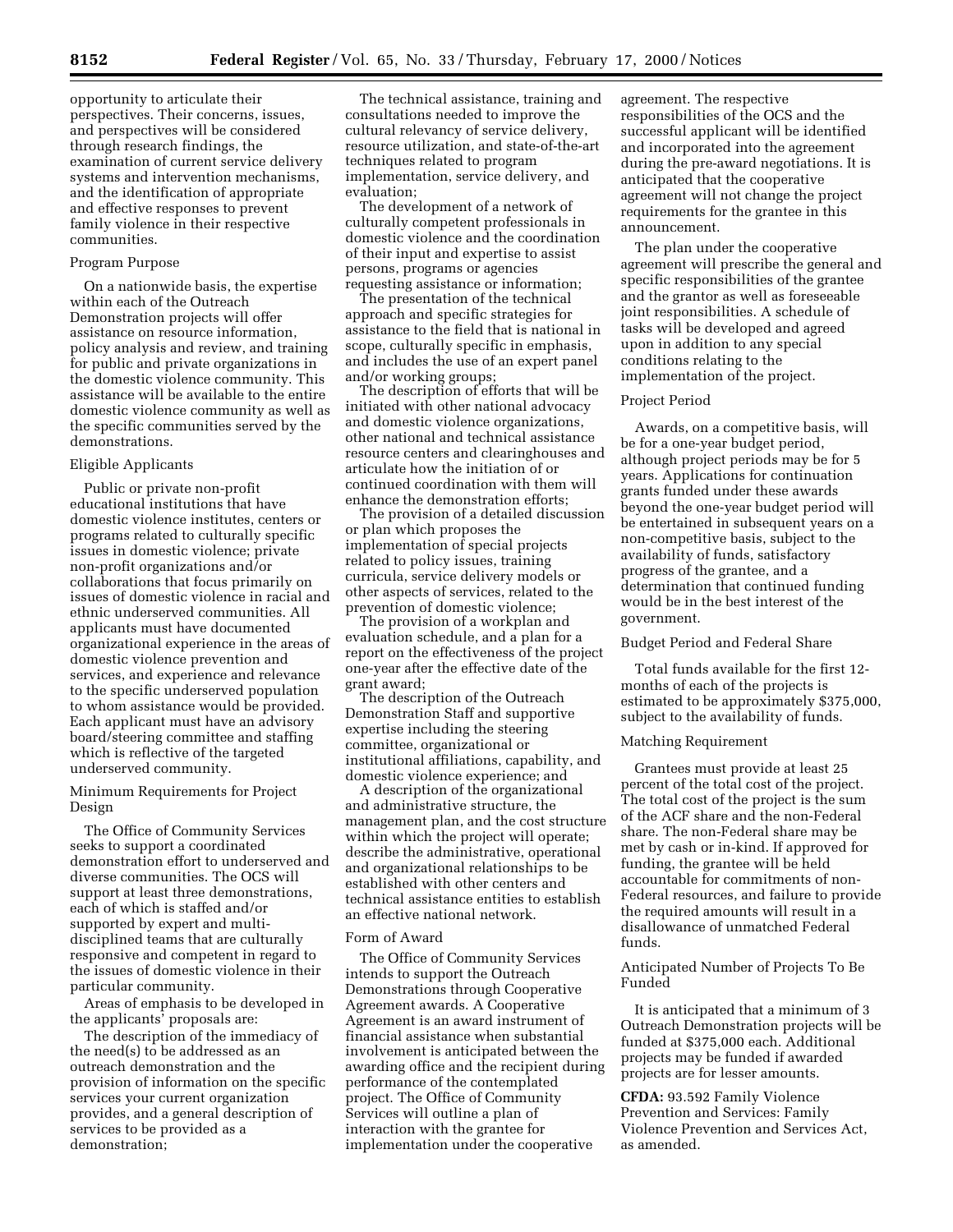opportunity to articulate their perspectives. Their concerns, issues, and perspectives will be considered through research findings, the examination of current service delivery systems and intervention mechanisms, and the identification of appropriate and effective responses to prevent family violence in their respective communities.

#### Program Purpose

On a nationwide basis, the expertise within each of the Outreach Demonstration projects will offer assistance on resource information, policy analysis and review, and training for public and private organizations in the domestic violence community. This assistance will be available to the entire domestic violence community as well as the specific communities served by the demonstrations.

#### Eligible Applicants

Public or private non-profit educational institutions that have domestic violence institutes, centers or programs related to culturally specific issues in domestic violence; private non-profit organizations and/or collaborations that focus primarily on issues of domestic violence in racial and ethnic underserved communities. All applicants must have documented organizational experience in the areas of domestic violence prevention and services, and experience and relevance to the specific underserved population to whom assistance would be provided. Each applicant must have an advisory board/steering committee and staffing which is reflective of the targeted underserved community.

Minimum Requirements for Project Design

The Office of Community Services seeks to support a coordinated demonstration effort to underserved and diverse communities. The OCS will support at least three demonstrations, each of which is staffed and/or supported by expert and multidisciplined teams that are culturally responsive and competent in regard to the issues of domestic violence in their particular community.

Areas of emphasis to be developed in the applicants' proposals are:

The description of the immediacy of the need(s) to be addressed as an outreach demonstration and the provision of information on the specific services your current organization provides, and a general description of services to be provided as a demonstration;

The technical assistance, training and consultations needed to improve the cultural relevancy of service delivery, resource utilization, and state-of-the-art techniques related to program implementation, service delivery, and evaluation;

The development of a network of culturally competent professionals in domestic violence and the coordination of their input and expertise to assist persons, programs or agencies requesting assistance or information;

The presentation of the technical approach and specific strategies for assistance to the field that is national in scope, culturally specific in emphasis, and includes the use of an expert panel and/or working groups;

The description of efforts that will be initiated with other national advocacy and domestic violence organizations, other national and technical assistance resource centers and clearinghouses and articulate how the initiation of or continued coordination with them will enhance the demonstration efforts;

The provision of a detailed discussion or plan which proposes the implementation of special projects related to policy issues, training curricula, service delivery models or other aspects of services, related to the prevention of domestic violence;

The provision of a workplan and evaluation schedule, and a plan for a report on the effectiveness of the project one-year after the effective date of the grant award;

The description of the Outreach Demonstration Staff and supportive expertise including the steering committee, organizational or institutional affiliations, capability, and domestic violence experience; and

A description of the organizational and administrative structure, the management plan, and the cost structure within which the project will operate; describe the administrative, operational and organizational relationships to be established with other centers and technical assistance entities to establish an effective national network.

#### Form of Award

The Office of Community Services intends to support the Outreach Demonstrations through Cooperative Agreement awards. A Cooperative Agreement is an award instrument of financial assistance when substantial involvement is anticipated between the awarding office and the recipient during performance of the contemplated project. The Office of Community Services will outline a plan of interaction with the grantee for implementation under the cooperative

agreement. The respective responsibilities of the OCS and the successful applicant will be identified and incorporated into the agreement during the pre-award negotiations. It is anticipated that the cooperative agreement will not change the project requirements for the grantee in this announcement.

The plan under the cooperative agreement will prescribe the general and specific responsibilities of the grantee and the grantor as well as foreseeable joint responsibilities. A schedule of tasks will be developed and agreed upon in addition to any special conditions relating to the implementation of the project.

### Project Period

Awards, on a competitive basis, will be for a one-year budget period, although project periods may be for 5 years. Applications for continuation grants funded under these awards beyond the one-year budget period will be entertained in subsequent years on a non-competitive basis, subject to the availability of funds, satisfactory progress of the grantee, and a determination that continued funding would be in the best interest of the government.

Budget Period and Federal Share

Total funds available for the first 12 months of each of the projects is estimated to be approximately \$375,000, subject to the availability of funds.

#### Matching Requirement

Grantees must provide at least 25 percent of the total cost of the project. The total cost of the project is the sum of the ACF share and the non-Federal share. The non-Federal share may be met by cash or in-kind. If approved for funding, the grantee will be held accountable for commitments of non-Federal resources, and failure to provide the required amounts will result in a disallowance of unmatched Federal funds.

## Anticipated Number of Projects To Be Funded

It is anticipated that a minimum of 3 Outreach Demonstration projects will be funded at \$375,000 each. Additional projects may be funded if awarded projects are for lesser amounts.

**CFDA:** 93.592 Family Violence Prevention and Services: Family Violence Prevention and Services Act, as amended.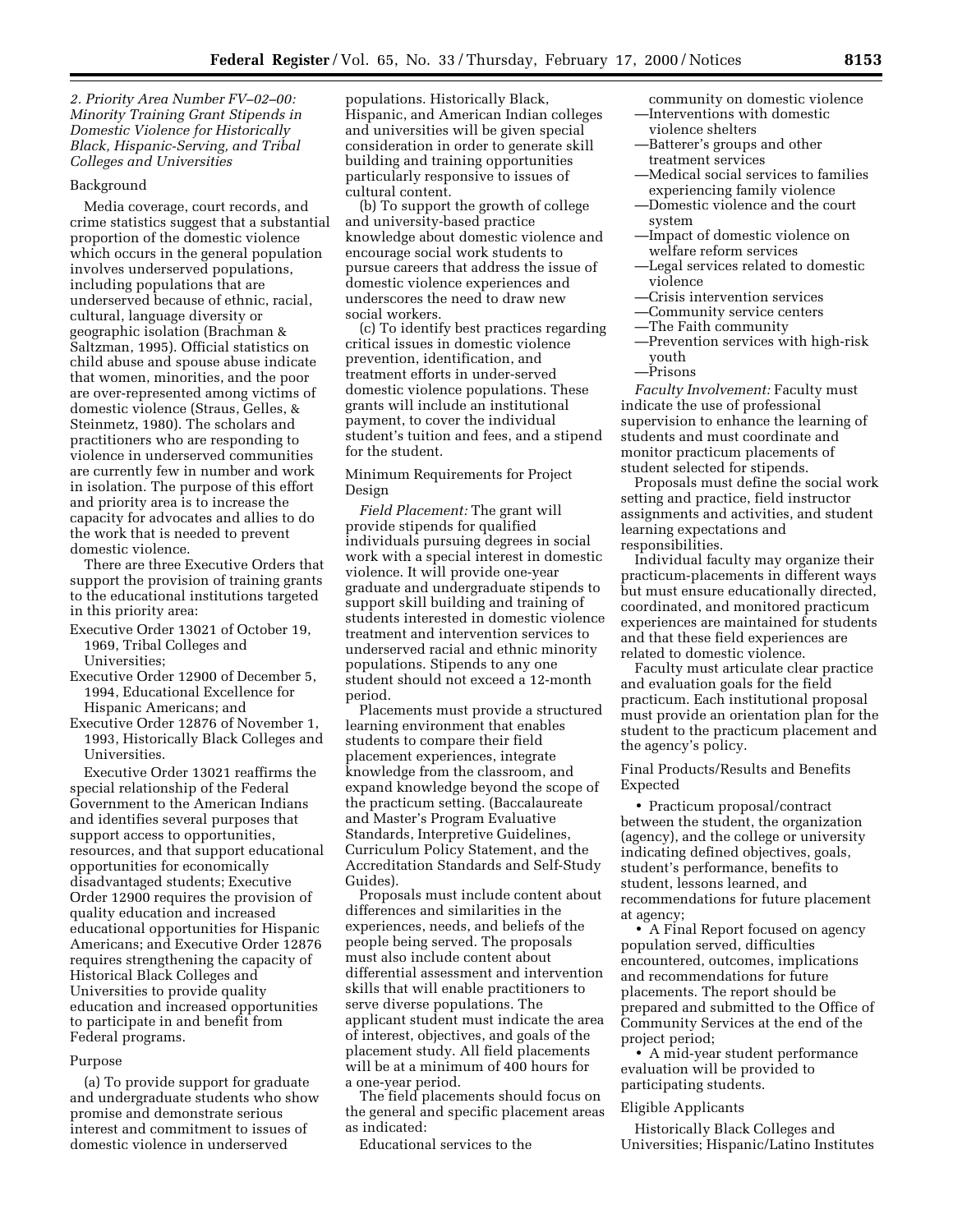*2. Priority Area Number FV–02–00: Minority Training Grant Stipends in Domestic Violence for Historically Black, Hispanic-Serving, and Tribal Colleges and Universities*

### Background

Media coverage, court records, and crime statistics suggest that a substantial proportion of the domestic violence which occurs in the general population involves underserved populations, including populations that are underserved because of ethnic, racial, cultural, language diversity or geographic isolation (Brachman & Saltzman, 1995). Official statistics on child abuse and spouse abuse indicate that women, minorities, and the poor are over-represented among victims of domestic violence (Straus, Gelles, & Steinmetz, 1980). The scholars and practitioners who are responding to violence in underserved communities are currently few in number and work in isolation. The purpose of this effort and priority area is to increase the capacity for advocates and allies to do the work that is needed to prevent domestic violence.

There are three Executive Orders that support the provision of training grants to the educational institutions targeted in this priority area:

- Executive Order 13021 of October 19, 1969, Tribal Colleges and Universities;
- Executive Order 12900 of December 5, 1994, Educational Excellence for Hispanic Americans; and
- Executive Order 12876 of November 1, 1993, Historically Black Colleges and Universities.

Executive Order 13021 reaffirms the special relationship of the Federal Government to the American Indians and identifies several purposes that support access to opportunities, resources, and that support educational opportunities for economically disadvantaged students; Executive Order 12900 requires the provision of quality education and increased educational opportunities for Hispanic Americans; and Executive Order 12876 requires strengthening the capacity of Historical Black Colleges and Universities to provide quality education and increased opportunities to participate in and benefit from Federal programs.

#### Purpose

(a) To provide support for graduate and undergraduate students who show promise and demonstrate serious interest and commitment to issues of domestic violence in underserved

populations. Historically Black, Hispanic, and American Indian colleges and universities will be given special consideration in order to generate skill building and training opportunities particularly responsive to issues of cultural content.

(b) To support the growth of college and university-based practice knowledge about domestic violence and encourage social work students to pursue careers that address the issue of domestic violence experiences and underscores the need to draw new social workers.

(c) To identify best practices regarding critical issues in domestic violence prevention, identification, and treatment efforts in under-served domestic violence populations. These grants will include an institutional payment, to cover the individual student's tuition and fees, and a stipend for the student.

Minimum Requirements for Project Design

*Field Placement:* The grant will provide stipends for qualified individuals pursuing degrees in social work with a special interest in domestic violence. It will provide one-year graduate and undergraduate stipends to support skill building and training of students interested in domestic violence treatment and intervention services to underserved racial and ethnic minority populations. Stipends to any one student should not exceed a 12-month period.

Placements must provide a structured learning environment that enables students to compare their field placement experiences, integrate knowledge from the classroom, and expand knowledge beyond the scope of the practicum setting. (Baccalaureate and Master's Program Evaluative Standards, Interpretive Guidelines, Curriculum Policy Statement, and the Accreditation Standards and Self-Study Guides).

Proposals must include content about differences and similarities in the experiences, needs, and beliefs of the people being served. The proposals must also include content about differential assessment and intervention skills that will enable practitioners to serve diverse populations. The applicant student must indicate the area of interest, objectives, and goals of the placement study. All field placements will be at a minimum of 400 hours for a one-year period.

The field placements should focus on the general and specific placement areas as indicated:

Educational services to the

- community on domestic violence —Interventions with domestic
- violence shelters —Batterer's groups and other
- treatment services
- —Medical social services to families experiencing family violence
- —Domestic violence and the court system
- —Impact of domestic violence on welfare reform services
- —Legal services related to domestic violence
- —Crisis intervention services
- —Community service centers
- —The Faith community
- —Prevention services with high-risk youth
- —Prisons

*Faculty Involvement:* Faculty must indicate the use of professional supervision to enhance the learning of students and must coordinate and monitor practicum placements of student selected for stipends.

Proposals must define the social work setting and practice, field instructor assignments and activities, and student learning expectations and responsibilities.

Individual faculty may organize their practicum-placements in different ways but must ensure educationally directed, coordinated, and monitored practicum experiences are maintained for students and that these field experiences are related to domestic violence.

Faculty must articulate clear practice and evaluation goals for the field practicum. Each institutional proposal must provide an orientation plan for the student to the practicum placement and the agency's policy.

Final Products/Results and Benefits Expected

• Practicum proposal/contract between the student, the organization (agency), and the college or university indicating defined objectives, goals, student's performance, benefits to student, lessons learned, and recommendations for future placement at agency;

• A Final Report focused on agency population served, difficulties encountered, outcomes, implications and recommendations for future placements. The report should be prepared and submitted to the Office of Community Services at the end of the project period;

• A mid-year student performance evaluation will be provided to participating students.

### Eligible Applicants

Historically Black Colleges and Universities; Hispanic/Latino Institutes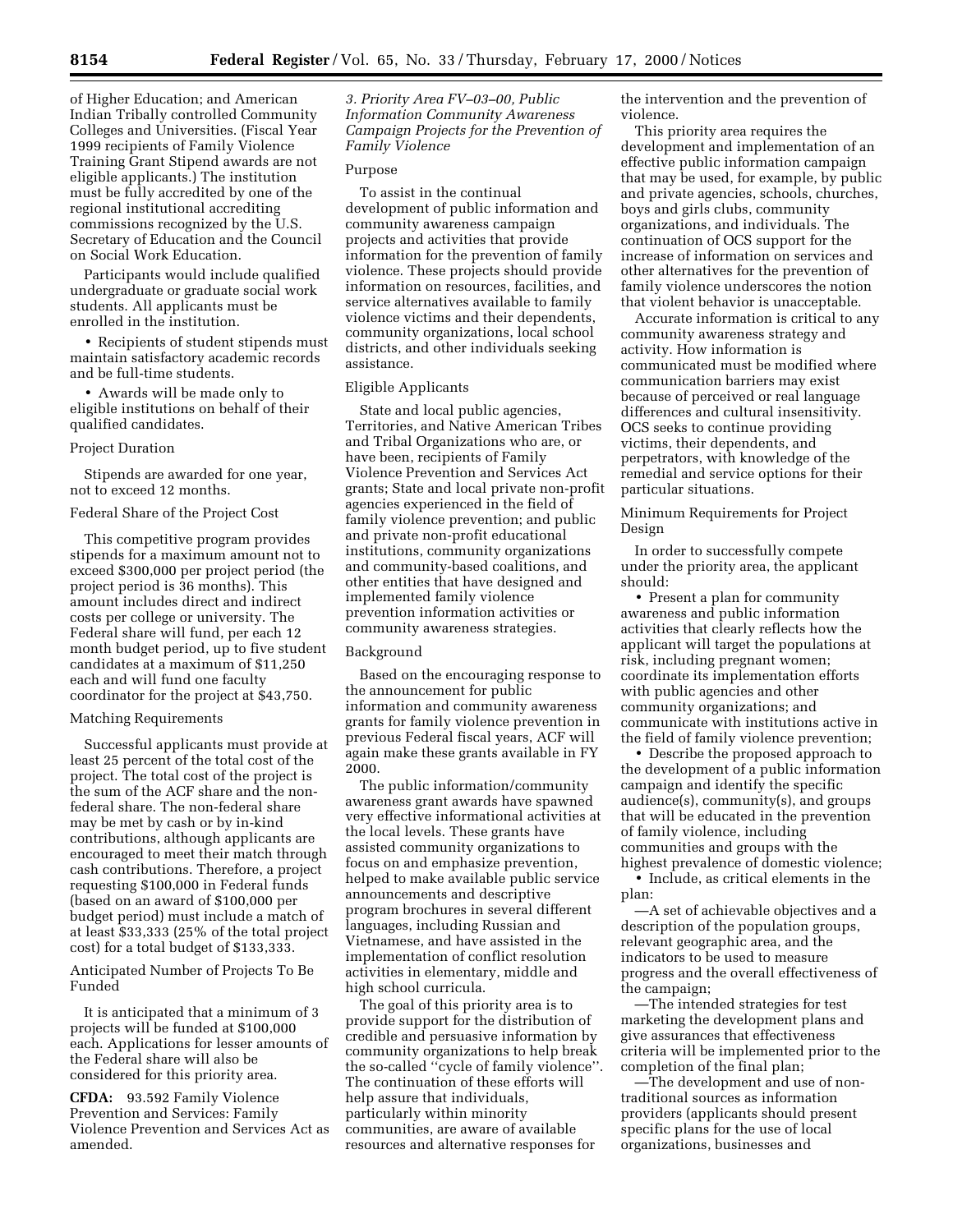of Higher Education; and American Indian Tribally controlled Community Colleges and Universities. (Fiscal Year 1999 recipients of Family Violence Training Grant Stipend awards are not eligible applicants.) The institution must be fully accredited by one of the regional institutional accrediting commissions recognized by the U.S. Secretary of Education and the Council on Social Work Education.

Participants would include qualified undergraduate or graduate social work students. All applicants must be enrolled in the institution.

• Recipients of student stipends must maintain satisfactory academic records and be full-time students.

• Awards will be made only to eligible institutions on behalf of their qualified candidates.

### Project Duration

Stipends are awarded for one year, not to exceed 12 months.

### Federal Share of the Project Cost

This competitive program provides stipends for a maximum amount not to exceed \$300,000 per project period (the project period is 36 months). This amount includes direct and indirect costs per college or university. The Federal share will fund, per each 12 month budget period, up to five student candidates at a maximum of \$11,250 each and will fund one faculty coordinator for the project at \$43,750.

### Matching Requirements

Successful applicants must provide at least 25 percent of the total cost of the project. The total cost of the project is the sum of the ACF share and the nonfederal share. The non-federal share may be met by cash or by in-kind contributions, although applicants are encouraged to meet their match through cash contributions. Therefore, a project requesting \$100,000 in Federal funds (based on an award of \$100,000 per budget period) must include a match of at least \$33,333 (25% of the total project cost) for a total budget of \$133,333.

Anticipated Number of Projects To Be Funded

It is anticipated that a minimum of 3 projects will be funded at \$100,000 each. Applications for lesser amounts of the Federal share will also be considered for this priority area.

**CFDA:** 93.592 Family Violence Prevention and Services: Family Violence Prevention and Services Act as amended.

## *3. Priority Area FV–03–00, Public Information Community Awareness Campaign Projects for the Prevention of Family Violence*

#### Purpose

To assist in the continual development of public information and community awareness campaign projects and activities that provide information for the prevention of family violence. These projects should provide information on resources, facilities, and service alternatives available to family violence victims and their dependents, community organizations, local school districts, and other individuals seeking assistance.

### Eligible Applicants

State and local public agencies, Territories, and Native American Tribes and Tribal Organizations who are, or have been, recipients of Family Violence Prevention and Services Act grants; State and local private non-profit agencies experienced in the field of family violence prevention; and public and private non-profit educational institutions, community organizations and community-based coalitions, and other entities that have designed and implemented family violence prevention information activities or community awareness strategies.

#### Background

Based on the encouraging response to the announcement for public information and community awareness grants for family violence prevention in previous Federal fiscal years, ACF will again make these grants available in FY 2000.

The public information/community awareness grant awards have spawned very effective informational activities at the local levels. These grants have assisted community organizations to focus on and emphasize prevention, helped to make available public service announcements and descriptive program brochures in several different languages, including Russian and Vietnamese, and have assisted in the implementation of conflict resolution activities in elementary, middle and high school curricula.

The goal of this priority area is to provide support for the distribution of credible and persuasive information by community organizations to help break the so-called ''cycle of family violence''. The continuation of these efforts will help assure that individuals, particularly within minority communities, are aware of available resources and alternative responses for

the intervention and the prevention of violence.

This priority area requires the development and implementation of an effective public information campaign that may be used, for example, by public and private agencies, schools, churches, boys and girls clubs, community organizations, and individuals. The continuation of OCS support for the increase of information on services and other alternatives for the prevention of family violence underscores the notion that violent behavior is unacceptable.

Accurate information is critical to any community awareness strategy and activity. How information is communicated must be modified where communication barriers may exist because of perceived or real language differences and cultural insensitivity. OCS seeks to continue providing victims, their dependents, and perpetrators, with knowledge of the remedial and service options for their particular situations.

Minimum Requirements for Project Design

In order to successfully compete under the priority area, the applicant should:

• Present a plan for community awareness and public information activities that clearly reflects how the applicant will target the populations at risk, including pregnant women; coordinate its implementation efforts with public agencies and other community organizations; and communicate with institutions active in the field of family violence prevention;

• Describe the proposed approach to the development of a public information campaign and identify the specific audience(s), community(s), and groups that will be educated in the prevention of family violence, including communities and groups with the highest prevalence of domestic violence;

• Include, as critical elements in the plan:

—A set of achievable objectives and a description of the population groups, relevant geographic area, and the indicators to be used to measure progress and the overall effectiveness of the campaign;

—The intended strategies for test marketing the development plans and give assurances that effectiveness criteria will be implemented prior to the completion of the final plan;

—The development and use of nontraditional sources as information providers (applicants should present specific plans for the use of local organizations, businesses and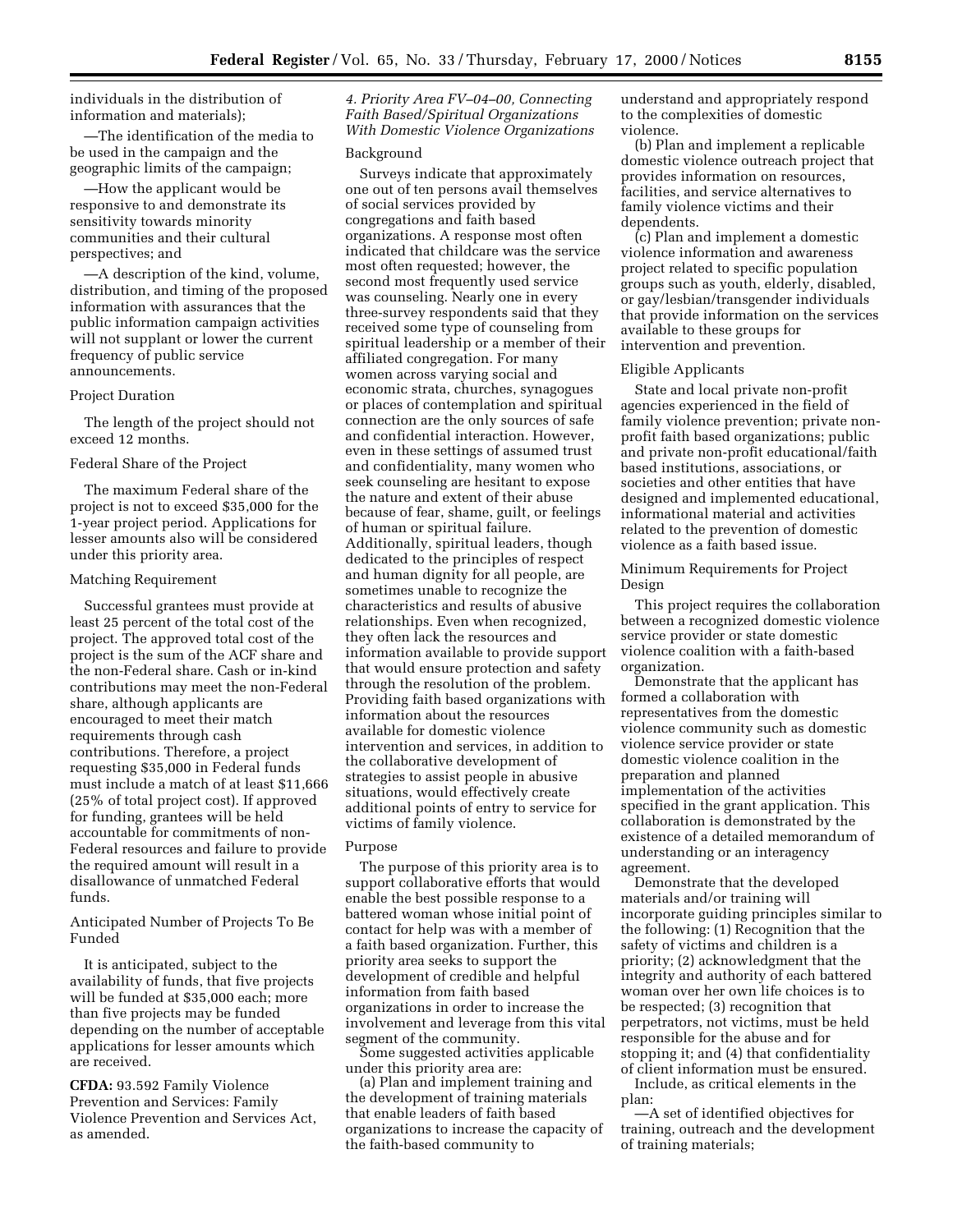individuals in the distribution of information and materials);

—The identification of the media to be used in the campaign and the geographic limits of the campaign;

—How the applicant would be responsive to and demonstrate its sensitivity towards minority communities and their cultural perspectives; and

—A description of the kind, volume, distribution, and timing of the proposed information with assurances that the public information campaign activities will not supplant or lower the current frequency of public service announcements.

#### Project Duration

The length of the project should not exceed 12 months.

### Federal Share of the Project

The maximum Federal share of the project is not to exceed \$35,000 for the 1-year project period. Applications for lesser amounts also will be considered under this priority area.

### Matching Requirement

Successful grantees must provide at least 25 percent of the total cost of the project. The approved total cost of the project is the sum of the ACF share and the non-Federal share. Cash or in-kind contributions may meet the non-Federal share, although applicants are encouraged to meet their match requirements through cash contributions. Therefore, a project requesting \$35,000 in Federal funds must include a match of at least \$11,666 (25% of total project cost). If approved for funding, grantees will be held accountable for commitments of non-Federal resources and failure to provide the required amount will result in a disallowance of unmatched Federal funds.

Anticipated Number of Projects To Be Funded

It is anticipated, subject to the availability of funds, that five projects will be funded at \$35,000 each; more than five projects may be funded depending on the number of acceptable applications for lesser amounts which are received.

**CFDA:** 93.592 Family Violence Prevention and Services: Family Violence Prevention and Services Act, as amended.

## *4. Priority Area FV–04–00, Connecting Faith Based/Spiritual Organizations With Domestic Violence Organizations*

#### Background

Surveys indicate that approximately one out of ten persons avail themselves of social services provided by congregations and faith based organizations. A response most often indicated that childcare was the service most often requested; however, the second most frequently used service was counseling. Nearly one in every three-survey respondents said that they received some type of counseling from spiritual leadership or a member of their affiliated congregation. For many women across varying social and economic strata, churches, synagogues or places of contemplation and spiritual connection are the only sources of safe and confidential interaction. However, even in these settings of assumed trust and confidentiality, many women who seek counseling are hesitant to expose the nature and extent of their abuse because of fear, shame, guilt, or feelings of human or spiritual failure. Additionally, spiritual leaders, though dedicated to the principles of respect and human dignity for all people, are sometimes unable to recognize the characteristics and results of abusive relationships. Even when recognized, they often lack the resources and information available to provide support that would ensure protection and safety through the resolution of the problem. Providing faith based organizations with information about the resources available for domestic violence intervention and services, in addition to the collaborative development of strategies to assist people in abusive situations, would effectively create additional points of entry to service for victims of family violence.

## Purpose

The purpose of this priority area is to support collaborative efforts that would enable the best possible response to a battered woman whose initial point of contact for help was with a member of a faith based organization. Further, this priority area seeks to support the development of credible and helpful information from faith based organizations in order to increase the involvement and leverage from this vital segment of the community.

Some suggested activities applicable under this priority area are:

(a) Plan and implement training and the development of training materials that enable leaders of faith based organizations to increase the capacity of the faith-based community to

understand and appropriately respond to the complexities of domestic violence.

(b) Plan and implement a replicable domestic violence outreach project that provides information on resources, facilities, and service alternatives to family violence victims and their dependents.

(c) Plan and implement a domestic violence information and awareness project related to specific population groups such as youth, elderly, disabled, or gay/lesbian/transgender individuals that provide information on the services available to these groups for intervention and prevention.

### Eligible Applicants

State and local private non-profit agencies experienced in the field of family violence prevention; private nonprofit faith based organizations; public and private non-profit educational/faith based institutions, associations, or societies and other entities that have designed and implemented educational, informational material and activities related to the prevention of domestic violence as a faith based issue.

### Minimum Requirements for Project Design

This project requires the collaboration between a recognized domestic violence service provider or state domestic violence coalition with a faith-based organization.

Demonstrate that the applicant has formed a collaboration with representatives from the domestic violence community such as domestic violence service provider or state domestic violence coalition in the preparation and planned implementation of the activities specified in the grant application. This collaboration is demonstrated by the existence of a detailed memorandum of understanding or an interagency agreement.

Demonstrate that the developed materials and/or training will incorporate guiding principles similar to the following: (1) Recognition that the safety of victims and children is a priority; (2) acknowledgment that the integrity and authority of each battered woman over her own life choices is to be respected; (3) recognition that perpetrators, not victims, must be held responsible for the abuse and for stopping it; and (4) that confidentiality of client information must be ensured.

Include, as critical elements in the plan:

—A set of identified objectives for training, outreach and the development of training materials;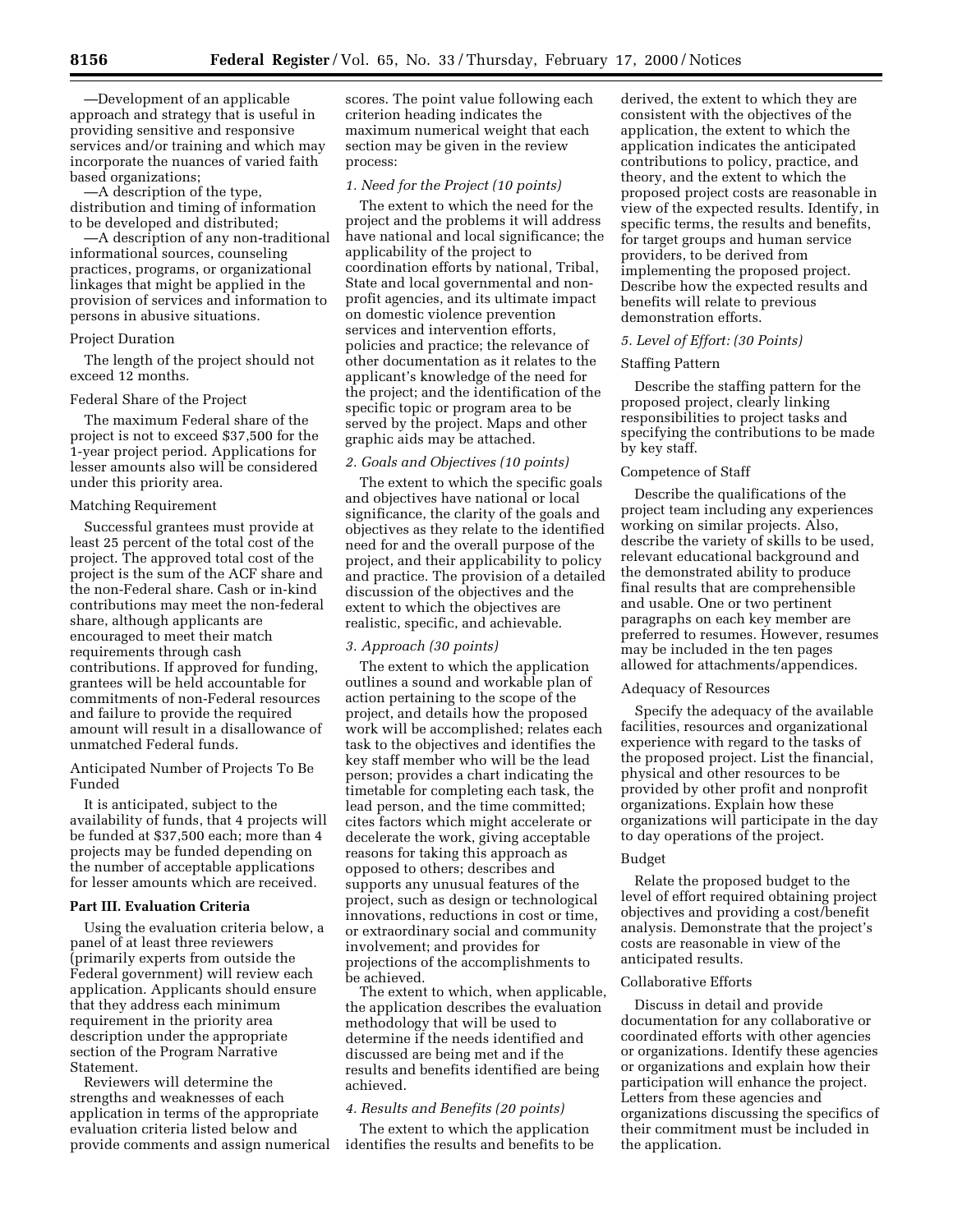—Development of an applicable approach and strategy that is useful in providing sensitive and responsive services and/or training and which may incorporate the nuances of varied faith based organizations;

—A description of the type, distribution and timing of information to be developed and distributed;

—A description of any non-traditional informational sources, counseling practices, programs, or organizational linkages that might be applied in the provision of services and information to persons in abusive situations.

### Project Duration

The length of the project should not exceed 12 months.

### Federal Share of the Project

The maximum Federal share of the project is not to exceed \$37,500 for the 1-year project period. Applications for lesser amounts also will be considered under this priority area.

#### Matching Requirement

Successful grantees must provide at least 25 percent of the total cost of the project. The approved total cost of the project is the sum of the ACF share and the non-Federal share. Cash or in-kind contributions may meet the non-federal share, although applicants are encouraged to meet their match requirements through cash contributions. If approved for funding, grantees will be held accountable for commitments of non-Federal resources and failure to provide the required amount will result in a disallowance of unmatched Federal funds.

Anticipated Number of Projects To Be Funded

It is anticipated, subject to the availability of funds, that 4 projects will be funded at \$37,500 each; more than 4 projects may be funded depending on the number of acceptable applications for lesser amounts which are received.

### **Part III. Evaluation Criteria**

Using the evaluation criteria below, a panel of at least three reviewers (primarily experts from outside the Federal government) will review each application. Applicants should ensure that they address each minimum requirement in the priority area description under the appropriate section of the Program Narrative Statement.

Reviewers will determine the strengths and weaknesses of each application in terms of the appropriate evaluation criteria listed below and provide comments and assign numerical

scores. The point value following each criterion heading indicates the maximum numerical weight that each section may be given in the review process:

#### *1. Need for the Project (10 points)*

The extent to which the need for the project and the problems it will address have national and local significance; the applicability of the project to coordination efforts by national, Tribal, State and local governmental and nonprofit agencies, and its ultimate impact on domestic violence prevention services and intervention efforts, policies and practice; the relevance of other documentation as it relates to the applicant's knowledge of the need for the project; and the identification of the specific topic or program area to be served by the project. Maps and other graphic aids may be attached.

# *2. Goals and Objectives (10 points)*

The extent to which the specific goals and objectives have national or local significance, the clarity of the goals and objectives as they relate to the identified need for and the overall purpose of the project, and their applicability to policy and practice. The provision of a detailed discussion of the objectives and the extent to which the objectives are realistic, specific, and achievable.

### *3. Approach (30 points)*

The extent to which the application outlines a sound and workable plan of action pertaining to the scope of the project, and details how the proposed work will be accomplished; relates each task to the objectives and identifies the key staff member who will be the lead person; provides a chart indicating the timetable for completing each task, the lead person, and the time committed; cites factors which might accelerate or decelerate the work, giving acceptable reasons for taking this approach as opposed to others; describes and supports any unusual features of the project, such as design or technological innovations, reductions in cost or time, or extraordinary social and community involvement; and provides for projections of the accomplishments to be achieved.

The extent to which, when applicable, the application describes the evaluation methodology that will be used to determine if the needs identified and discussed are being met and if the results and benefits identified are being achieved.

### *4. Results and Benefits (20 points)*

The extent to which the application identifies the results and benefits to be

derived, the extent to which they are consistent with the objectives of the application, the extent to which the application indicates the anticipated contributions to policy, practice, and theory, and the extent to which the proposed project costs are reasonable in view of the expected results. Identify, in specific terms, the results and benefits, for target groups and human service providers, to be derived from implementing the proposed project. Describe how the expected results and benefits will relate to previous demonstration efforts.

#### *5. Level of Effort: (30 Points)*

#### Staffing Pattern

Describe the staffing pattern for the proposed project, clearly linking responsibilities to project tasks and specifying the contributions to be made by key staff.

### Competence of Staff

Describe the qualifications of the project team including any experiences working on similar projects. Also, describe the variety of skills to be used, relevant educational background and the demonstrated ability to produce final results that are comprehensible and usable. One or two pertinent paragraphs on each key member are preferred to resumes. However, resumes may be included in the ten pages allowed for attachments/appendices.

#### Adequacy of Resources

Specify the adequacy of the available facilities, resources and organizational experience with regard to the tasks of the proposed project. List the financial, physical and other resources to be provided by other profit and nonprofit organizations. Explain how these organizations will participate in the day to day operations of the project.

### Budget

Relate the proposed budget to the level of effort required obtaining project objectives and providing a cost/benefit analysis. Demonstrate that the project's costs are reasonable in view of the anticipated results.

#### Collaborative Efforts

Discuss in detail and provide documentation for any collaborative or coordinated efforts with other agencies or organizations. Identify these agencies or organizations and explain how their participation will enhance the project. Letters from these agencies and organizations discussing the specifics of their commitment must be included in the application.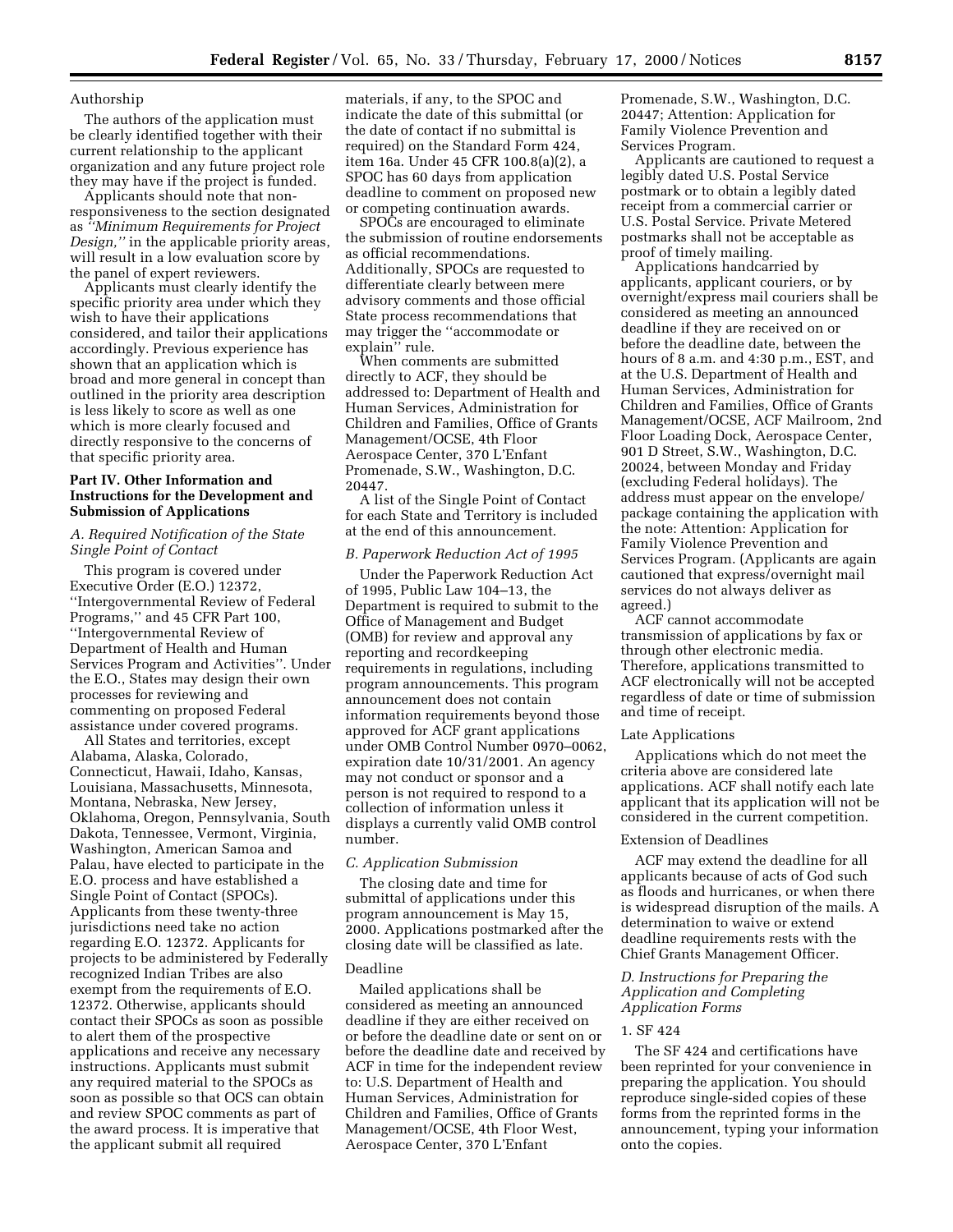### Authorship

The authors of the application must be clearly identified together with their current relationship to the applicant organization and any future project role they may have if the project is funded.

Applicants should note that nonresponsiveness to the section designated as *''Minimum Requirements for Project Design,''* in the applicable priority areas, will result in a low evaluation score by the panel of expert reviewers.

Applicants must clearly identify the specific priority area under which they wish to have their applications considered, and tailor their applications accordingly. Previous experience has shown that an application which is broad and more general in concept than outlined in the priority area description is less likely to score as well as one which is more clearly focused and directly responsive to the concerns of that specific priority area.

### **Part IV. Other Information and Instructions for the Development and Submission of Applications**

### *A. Required Notification of the State Single Point of Contact*

This program is covered under Executive Order (E.O.) 12372, ''Intergovernmental Review of Federal Programs,'' and 45 CFR Part 100, ''Intergovernmental Review of Department of Health and Human Services Program and Activities''. Under the E.O., States may design their own processes for reviewing and commenting on proposed Federal assistance under covered programs.

All States and territories, except Alabama, Alaska, Colorado, Connecticut, Hawaii, Idaho, Kansas, Louisiana, Massachusetts, Minnesota, Montana, Nebraska, New Jersey, Oklahoma, Oregon, Pennsylvania, South Dakota, Tennessee, Vermont, Virginia, Washington, American Samoa and Palau, have elected to participate in the E.O. process and have established a Single Point of Contact (SPOCs). Applicants from these twenty-three jurisdictions need take no action regarding E.O. 12372. Applicants for projects to be administered by Federally recognized Indian Tribes are also exempt from the requirements of E.O. 12372. Otherwise, applicants should contact their SPOCs as soon as possible to alert them of the prospective applications and receive any necessary instructions. Applicants must submit any required material to the SPOCs as soon as possible so that OCS can obtain and review SPOC comments as part of the award process. It is imperative that the applicant submit all required

materials, if any, to the SPOC and indicate the date of this submittal (or the date of contact if no submittal is required) on the Standard Form 424, item 16a. Under 45 CFR 100.8(a)(2), a SPOC has 60 days from application deadline to comment on proposed new or competing continuation awards.

SPOCs are encouraged to eliminate the submission of routine endorsements as official recommendations. Additionally, SPOCs are requested to differentiate clearly between mere advisory comments and those official State process recommendations that may trigger the ''accommodate or explain'' rule.

When comments are submitted directly to ACF, they should be addressed to: Department of Health and Human Services, Administration for Children and Families, Office of Grants Management/OCSE, 4th Floor Aerospace Center, 370 L'Enfant Promenade, S.W., Washington, D.C. 20447.

A list of the Single Point of Contact for each State and Territory is included at the end of this announcement.

#### *B. Paperwork Reduction Act of 1995*

Under the Paperwork Reduction Act of 1995, Public Law 104–13, the Department is required to submit to the Office of Management and Budget (OMB) for review and approval any reporting and recordkeeping requirements in regulations, including program announcements. This program announcement does not contain information requirements beyond those approved for ACF grant applications under OMB Control Number 0970–0062, expiration date 10/31/2001. An agency may not conduct or sponsor and a person is not required to respond to a collection of information unless it displays a currently valid OMB control number.

## *C. Application Submission*

The closing date and time for submittal of applications under this program announcement is May 15, 2000. Applications postmarked after the closing date will be classified as late.

### Deadline

Mailed applications shall be considered as meeting an announced deadline if they are either received on or before the deadline date or sent on or before the deadline date and received by ACF in time for the independent review to: U.S. Department of Health and Human Services, Administration for Children and Families, Office of Grants Management/OCSE, 4th Floor West, Aerospace Center, 370 L'Enfant

Promenade, S.W., Washington, D.C. 20447; Attention: Application for Family Violence Prevention and Services Program.

Applicants are cautioned to request a legibly dated U.S. Postal Service postmark or to obtain a legibly dated receipt from a commercial carrier or U.S. Postal Service. Private Metered postmarks shall not be acceptable as proof of timely mailing.

Applications handcarried by applicants, applicant couriers, or by overnight/express mail couriers shall be considered as meeting an announced deadline if they are received on or before the deadline date, between the hours of 8 a.m. and 4:30 p.m., EST, and at the U.S. Department of Health and Human Services, Administration for Children and Families, Office of Grants Management/OCSE, ACF Mailroom, 2nd Floor Loading Dock, Aerospace Center, 901 D Street, S.W., Washington, D.C. 20024, between Monday and Friday (excluding Federal holidays). The address must appear on the envelope/ package containing the application with the note: Attention: Application for Family Violence Prevention and Services Program. (Applicants are again cautioned that express/overnight mail services do not always deliver as agreed.)

ACF cannot accommodate transmission of applications by fax or through other electronic media. Therefore, applications transmitted to ACF electronically will not be accepted regardless of date or time of submission and time of receipt.

### Late Applications

Applications which do not meet the criteria above are considered late applications. ACF shall notify each late applicant that its application will not be considered in the current competition.

#### Extension of Deadlines

ACF may extend the deadline for all applicants because of acts of God such as floods and hurricanes, or when there is widespread disruption of the mails. A determination to waive or extend deadline requirements rests with the Chief Grants Management Officer.

## *D. Instructions for Preparing the Application and Completing Application Forms*

# 1. SF 424

The SF 424 and certifications have been reprinted for your convenience in preparing the application. You should reproduce single-sided copies of these forms from the reprinted forms in the announcement, typing your information onto the copies.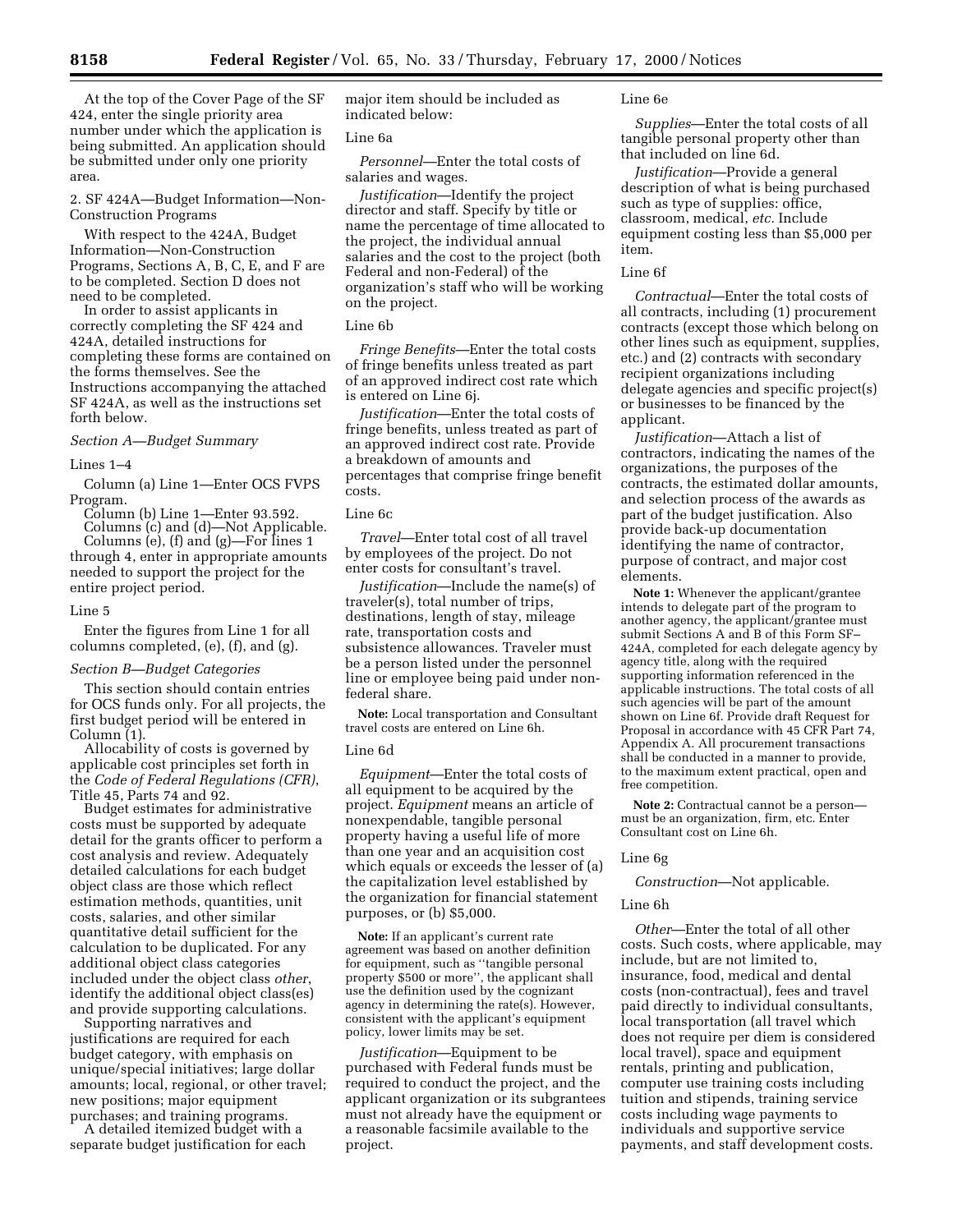At the top of the Cover Page of the SF 424, enter the single priority area number under which the application is being submitted. An application should be submitted under only one priority area.

2. SF 424A—Budget Information—Non-Construction Programs

With respect to the 424A, Budget Information—Non-Construction Programs, Sections A, B, C, E, and F are to be completed. Section D does not

In order to assist applicants in correctly completing the SF 424 and 424A, detailed instructions for completing these forms are contained on the forms themselves. See the Instructions accompanying the attached SF 424A, as well as the instructions set forth below.

#### *Section A—Budget Summary*

Lines 1–4

Column (a) Line 1—Enter OCS FVPS Program. Column (b) Line 1—Enter 93.592.

Columns (c) and (d)—Not Applicable. Columns (e), (f) and (g)—For lines 1 through 4, enter in appropriate amounts needed to support the project for the entire project period.

#### Line 5

Enter the figures from Line 1 for all columns completed, (e), (f), and (g).

### *Section B—Budget Categories*

This section should contain entries for OCS funds only. For all projects, the first budget period will be entered in Column (1).

Allocability of costs is governed by applicable cost principles set forth in the *Code of Federal Regulations (CFR)*, Title 45, Parts 74 and 92.

Budget estimates for administrative costs must be supported by adequate detail for the grants officer to perform a cost analysis and review. Adequately detailed calculations for each budget object class are those which reflect estimation methods, quantities, unit costs, salaries, and other similar quantitative detail sufficient for the calculation to be duplicated. For any additional object class categories included under the object class *other*, identify the additional object class(es) and provide supporting calculations. Supporting narratives and

justifications are required for each budget category, with emphasis on unique/special initiatives; large dollar amounts; local, regional, or other travel; new positions; major equipment

purchases; and training programs. A detailed itemized budget with a separate budget justification for each major item should be included as indicated below:

### Line 6a

*Personnel*—Enter the total costs of salaries and wages.

*Justification*—Identify the project director and staff. Specify by title or name the percentage of time allocated to the project, the individual annual salaries and the cost to the project (both Federal and non-Federal) of the organization's staff who will be working on the project.

### Line 6b

*Fringe Benefits*—Enter the total costs of fringe benefits unless treated as part of an approved indirect cost rate which is entered on Line 6j.

*Justification*—Enter the total costs of fringe benefits, unless treated as part of an approved indirect cost rate. Provide a breakdown of amounts and percentages that comprise fringe benefit costs.

### Line 6c

*Travel*—Enter total cost of all travel by employees of the project. Do not enter costs for consultant's travel.

*Justification*—Include the name(s) of traveler(s), total number of trips, destinations, length of stay, mileage rate, transportation costs and subsistence allowances. Traveler must be a person listed under the personnel line or employee being paid under nonfederal share.

**Note:** Local transportation and Consultant travel costs are entered on Line 6h.

## Line 6d

*Equipment*—Enter the total costs of all equipment to be acquired by the project. *Equipment* means an article of nonexpendable, tangible personal property having a useful life of more than one year and an acquisition cost which equals or exceeds the lesser of (a) the capitalization level established by the organization for financial statement purposes, or (b) \$5,000.

**Note:** If an applicant's current rate agreement was based on another definition for equipment, such as ''tangible personal property \$500 or more'', the applicant shall use the definition used by the cognizant agency in determining the rate(s). However, consistent with the applicant's equipment policy, lower limits may be set.

*Justification*—Equipment to be purchased with Federal funds must be required to conduct the project, and the applicant organization or its subgrantees must not already have the equipment or a reasonable facsimile available to the project.

### Line 6e

*Supplies*—Enter the total costs of all tangible personal property other than that included on line 6d.

*Justification*—Provide a general description of what is being purchased such as type of supplies: office, classroom, medical, *etc.* Include equipment costing less than \$5,000 per item.

## Line 6f

*Contractual*—Enter the total costs of all contracts, including (1) procurement contracts (except those which belong on other lines such as equipment, supplies, etc.) and (2) contracts with secondary recipient organizations including delegate agencies and specific project(s) or businesses to be financed by the applicant.

*Justification*—Attach a list of contractors, indicating the names of the organizations, the purposes of the contracts, the estimated dollar amounts, and selection process of the awards as part of the budget justification. Also provide back-up documentation identifying the name of contractor, purpose of contract, and major cost elements.

**Note 1:** Whenever the applicant/grantee intends to delegate part of the program to another agency, the applicant/grantee must submit Sections A and B of this Form SF– 424A, completed for each delegate agency by agency title, along with the required supporting information referenced in the applicable instructions. The total costs of all such agencies will be part of the amount shown on Line 6f. Provide draft Request for Proposal in accordance with 45 CFR Part 74, Appendix A. All procurement transactions shall be conducted in a manner to provide, to the maximum extent practical, open and free competition.

**Note 2:** Contractual cannot be a person must be an organization, firm, etc. Enter Consultant cost on Line 6h.

#### Line 6g

*Construction*—Not applicable.

### Line 6h

*Other*—Enter the total of all other costs. Such costs, where applicable, may include, but are not limited to, insurance, food, medical and dental costs (non-contractual), fees and travel paid directly to individual consultants, local transportation (all travel which does not require per diem is considered local travel), space and equipment rentals, printing and publication, computer use training costs including tuition and stipends, training service costs including wage payments to individuals and supportive service payments, and staff development costs.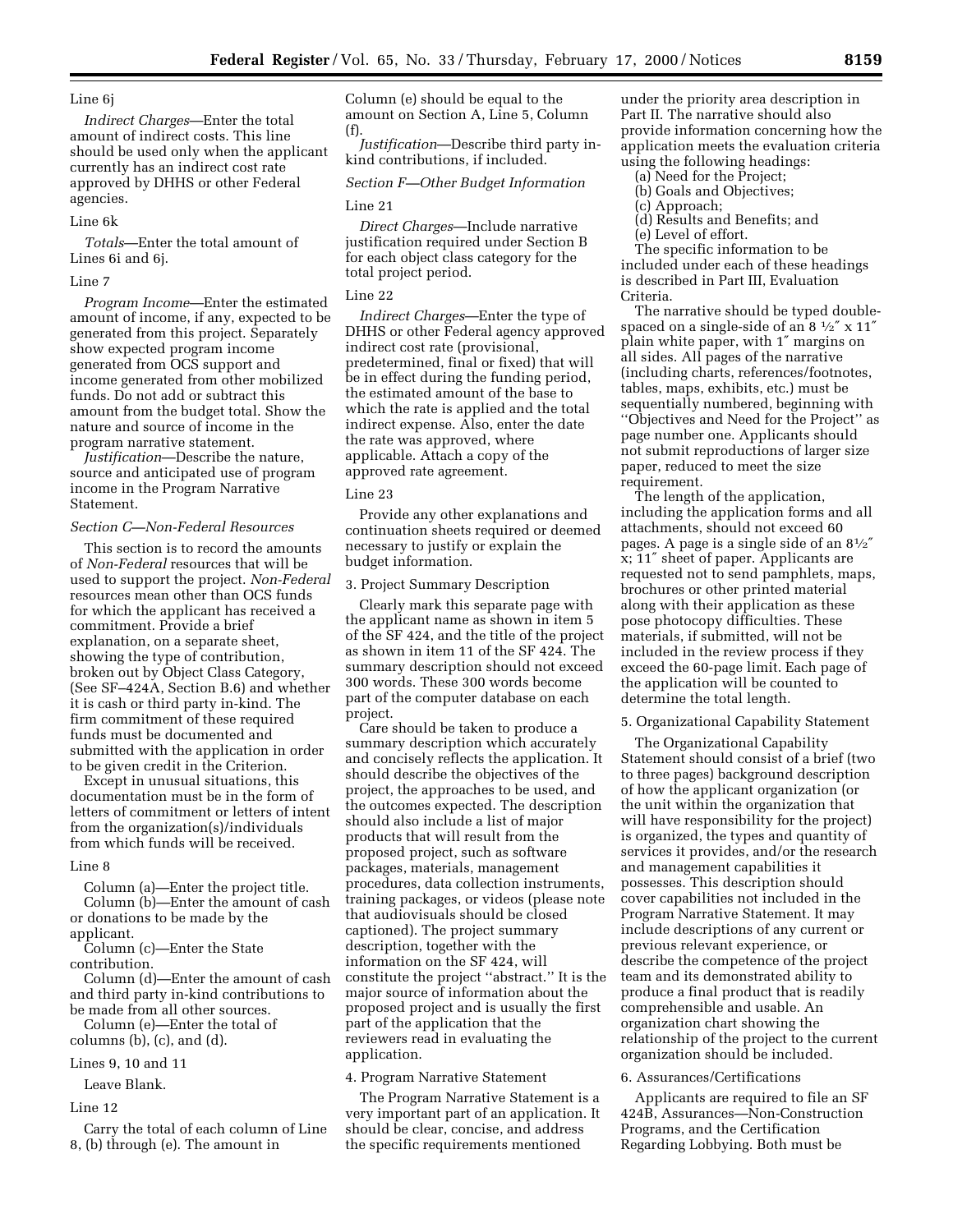## Line 6j

*Indirect Charges*—Enter the total amount of indirect costs. This line should be used only when the applicant currently has an indirect cost rate approved by DHHS or other Federal agencies.

### Line 6k

*Totals*—Enter the total amount of Lines 6i and 6j.

#### Line 7

*Program Income*—Enter the estimated amount of income, if any, expected to be generated from this project. Separately show expected program income generated from OCS support and income generated from other mobilized funds. Do not add or subtract this amount from the budget total. Show the nature and source of income in the program narrative statement.

*Justification*—Describe the nature, source and anticipated use of program income in the Program Narrative Statement.

#### *Section C—Non-Federal Resources*

This section is to record the amounts of *Non-Federal* resources that will be used to support the project. *Non-Federal* resources mean other than OCS funds for which the applicant has received a commitment. Provide a brief explanation, on a separate sheet, showing the type of contribution, broken out by Object Class Category, (See SF–424A, Section B.6) and whether it is cash or third party in-kind. The firm commitment of these required funds must be documented and submitted with the application in order to be given credit in the Criterion.

Except in unusual situations, this documentation must be in the form of letters of commitment or letters of intent from the organization(s)/individuals from which funds will be received.

#### Line 8

Column (a)—Enter the project title. Column (b)—Enter the amount of cash

or donations to be made by the applicant.

Column (c)—Enter the State contribution.

Column (d)—Enter the amount of cash and third party in-kind contributions to be made from all other sources.

Column (e)—Enter the total of

columns (b), (c), and (d).

### Lines 9, 10 and 11

Leave Blank.

### Line 12

Carry the total of each column of Line 8, (b) through (e). The amount in

Column (e) should be equal to the amount on Section A, Line 5, Column (f).

*Justification*—Describe third party inkind contributions, if included.

*Section F—Other Budget Information*

## Line 21

*Direct Charges*—Include narrative justification required under Section B for each object class category for the total project period.

## Line 22

*Indirect Charges*—Enter the type of DHHS or other Federal agency approved indirect cost rate (provisional, predetermined, final or fixed) that will be in effect during the funding period, the estimated amount of the base to which the rate is applied and the total indirect expense. Also, enter the date the rate was approved, where applicable. Attach a copy of the approved rate agreement.

### Line 23

Provide any other explanations and continuation sheets required or deemed necessary to justify or explain the budget information.

3. Project Summary Description

Clearly mark this separate page with the applicant name as shown in item 5 of the SF 424, and the title of the project as shown in item 11 of the SF 424. The summary description should not exceed 300 words. These 300 words become part of the computer database on each project.

Care should be taken to produce a summary description which accurately and concisely reflects the application. It should describe the objectives of the project, the approaches to be used, and the outcomes expected. The description should also include a list of major products that will result from the proposed project, such as software packages, materials, management procedures, data collection instruments, training packages, or videos (please note that audiovisuals should be closed captioned). The project summary description, together with the information on the SF 424, will constitute the project ''abstract.'' It is the major source of information about the proposed project and is usually the first part of the application that the reviewers read in evaluating the application.

### 4. Program Narrative Statement

The Program Narrative Statement is a very important part of an application. It should be clear, concise, and address the specific requirements mentioned

under the priority area description in Part II. The narrative should also provide information concerning how the application meets the evaluation criteria using the following headings:

- (a) Need for the Project;
- (b) Goals and Objectives;
- (c) Approach;
- (d) Results and Benefits; and
- (e) Level of effort.

The specific information to be included under each of these headings is described in Part III, Evaluation Criteria.

The narrative should be typed doublespaced on a single-side of an  $8\frac{1}{2}$ " x  $11$ " plain white paper, with 1″ margins on all sides. All pages of the narrative (including charts, references/footnotes, tables, maps, exhibits, etc.) must be sequentially numbered, beginning with ''Objectives and Need for the Project'' as page number one. Applicants should not submit reproductions of larger size paper, reduced to meet the size requirement.

The length of the application, including the application forms and all attachments, should not exceed 60 pages. A page is a single side of an 81⁄2″ x; 11″ sheet of paper. Applicants are requested not to send pamphlets, maps, brochures or other printed material along with their application as these pose photocopy difficulties. These materials, if submitted, will not be included in the review process if they exceed the 60-page limit. Each page of the application will be counted to determine the total length.

#### 5. Organizational Capability Statement

The Organizational Capability Statement should consist of a brief (two to three pages) background description of how the applicant organization (or the unit within the organization that will have responsibility for the project) is organized, the types and quantity of services it provides, and/or the research and management capabilities it possesses. This description should cover capabilities not included in the Program Narrative Statement. It may include descriptions of any current or previous relevant experience, or describe the competence of the project team and its demonstrated ability to produce a final product that is readily comprehensible and usable. An organization chart showing the relationship of the project to the current organization should be included.

### 6. Assurances/Certifications

Applicants are required to file an SF 424B, Assurances—Non-Construction Programs, and the Certification Regarding Lobbying. Both must be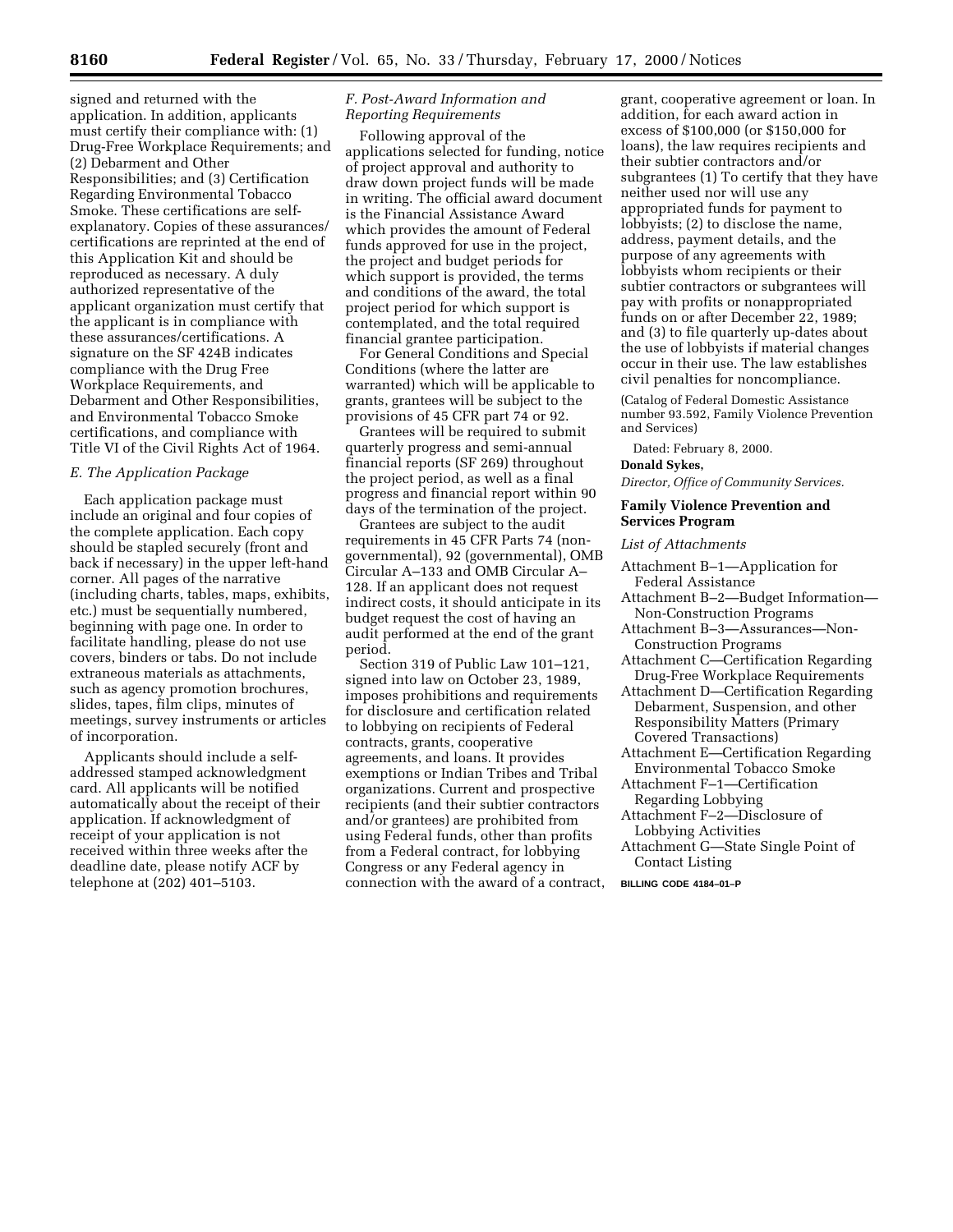signed and returned with the application. In addition, applicants must certify their compliance with: (1) Drug-Free Workplace Requirements; and (2) Debarment and Other Responsibilities; and (3) Certification Regarding Environmental Tobacco Smoke. These certifications are selfexplanatory. Copies of these assurances/ certifications are reprinted at the end of this Application Kit and should be reproduced as necessary. A duly authorized representative of the applicant organization must certify that the applicant is in compliance with these assurances/certifications. A signature on the SF 424B indicates compliance with the Drug Free Workplace Requirements, and Debarment and Other Responsibilities, and Environmental Tobacco Smoke certifications, and compliance with Title VI of the Civil Rights Act of 1964.

### *E. The Application Package*

Each application package must include an original and four copies of the complete application. Each copy should be stapled securely (front and back if necessary) in the upper left-hand corner. All pages of the narrative (including charts, tables, maps, exhibits, etc.) must be sequentially numbered, beginning with page one. In order to facilitate handling, please do not use covers, binders or tabs. Do not include extraneous materials as attachments, such as agency promotion brochures, slides, tapes, film clips, minutes of meetings, survey instruments or articles of incorporation.

Applicants should include a selfaddressed stamped acknowledgment card. All applicants will be notified automatically about the receipt of their application. If acknowledgment of receipt of your application is not received within three weeks after the deadline date, please notify ACF by telephone at (202) 401–5103.

### *F. Post-Award Information and Reporting Requirements*

Following approval of the applications selected for funding, notice of project approval and authority to draw down project funds will be made in writing. The official award document is the Financial Assistance Award which provides the amount of Federal funds approved for use in the project, the project and budget periods for which support is provided, the terms and conditions of the award, the total project period for which support is contemplated, and the total required financial grantee participation.

For General Conditions and Special Conditions (where the latter are warranted) which will be applicable to grants, grantees will be subject to the provisions of 45 CFR part 74 or 92.

Grantees will be required to submit quarterly progress and semi-annual financial reports (SF 269) throughout the project period, as well as a final progress and financial report within 90 days of the termination of the project.

Grantees are subject to the audit requirements in 45 CFR Parts 74 (nongovernmental), 92 (governmental), OMB Circular A–133 and OMB Circular A– 128. If an applicant does not request indirect costs, it should anticipate in its budget request the cost of having an audit performed at the end of the grant period.

Section 319 of Public Law 101–121, signed into law on October 23, 1989, imposes prohibitions and requirements for disclosure and certification related to lobbying on recipients of Federal contracts, grants, cooperative agreements, and loans. It provides exemptions or Indian Tribes and Tribal organizations. Current and prospective recipients (and their subtier contractors and/or grantees) are prohibited from using Federal funds, other than profits from a Federal contract, for lobbying Congress or any Federal agency in connection with the award of a contract, grant, cooperative agreement or loan. In addition, for each award action in excess of \$100,000 (or \$150,000 for loans), the law requires recipients and their subtier contractors and/or subgrantees (1) To certify that they have neither used nor will use any appropriated funds for payment to lobbyists; (2) to disclose the name, address, payment details, and the purpose of any agreements with lobbyists whom recipients or their subtier contractors or subgrantees will pay with profits or nonappropriated funds on or after December 22, 1989; and (3) to file quarterly up-dates about the use of lobbyists if material changes occur in their use. The law establishes civil penalties for noncompliance.

(Catalog of Federal Domestic Assistance number 93.592, Family Violence Prevention and Services)

Dated: February 8, 2000.

#### **Donald Sykes,**

*Director, Office of Community Services.*

### **Family Violence Prevention and Services Program**

#### *List of Attachments*

- Attachment B–1—Application for Federal Assistance
- Attachment B–2—Budget Information— Non-Construction Programs
- Attachment B–3—Assurances—Non-Construction Programs
- Attachment C—Certification Regarding Drug-Free Workplace Requirements

Attachment D—Certification Regarding Debarment, Suspension, and other Responsibility Matters (Primary Covered Transactions)

- Attachment E—Certification Regarding Environmental Tobacco Smoke
- Attachment F–1—Certification Regarding Lobbying
- Attachment F–2—Disclosure of Lobbying Activities
- Attachment G—State Single Point of Contact Listing

**BILLING CODE 4184–01–P**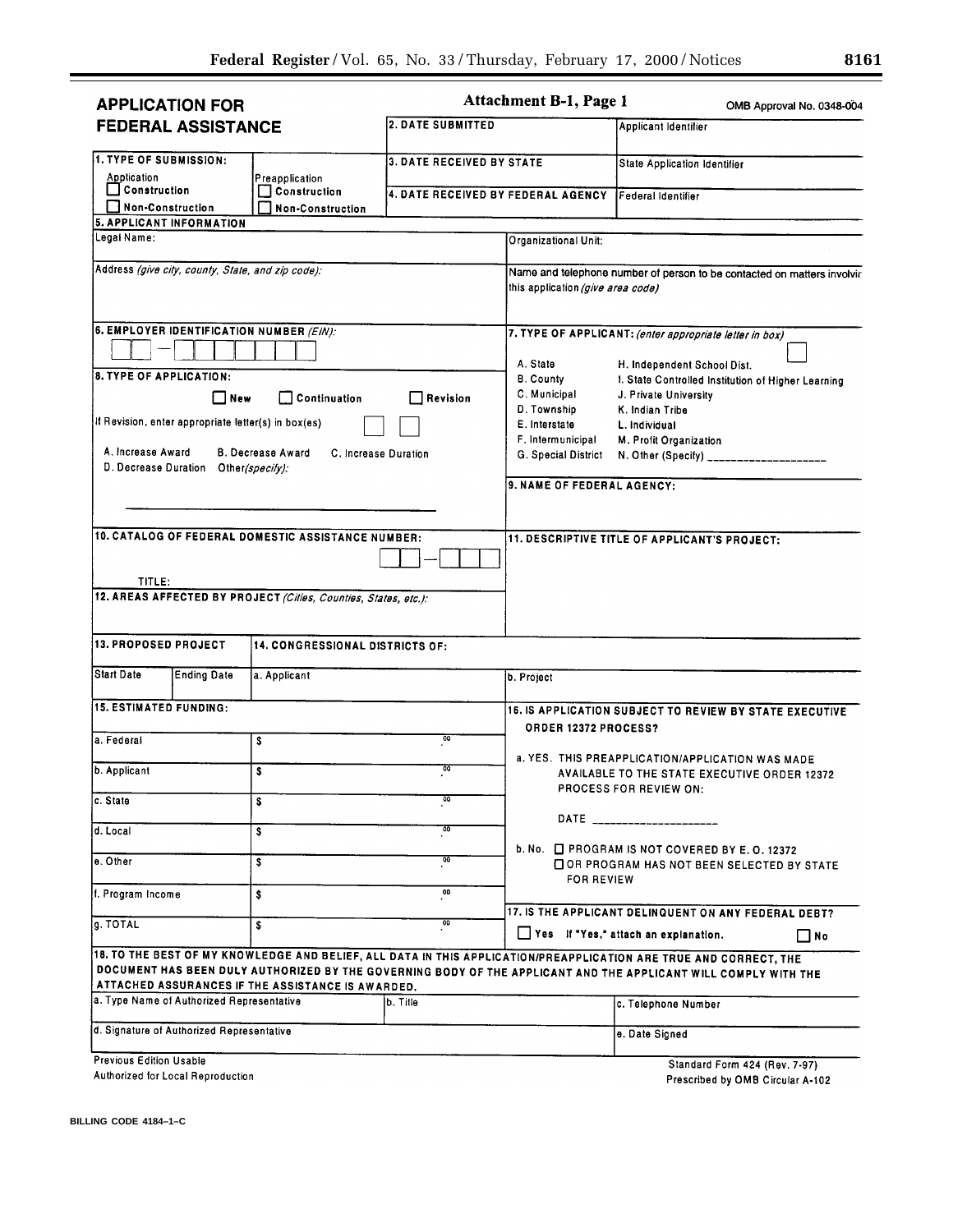| <b>APPLICATION FOR</b><br><b>FEDERAL ASSISTANCE</b>                                                                                         |                                                                                                                                                                                                                                      |                                                                                                                     | <b>Attachment B-1, Page 1</b><br>OMB Approval No. 0348-004                             |                                                                                                                                                                                                                                                                                                                                                                                                                                          |                                                                                                                                                                                                                                      |  |
|---------------------------------------------------------------------------------------------------------------------------------------------|--------------------------------------------------------------------------------------------------------------------------------------------------------------------------------------------------------------------------------------|---------------------------------------------------------------------------------------------------------------------|----------------------------------------------------------------------------------------|------------------------------------------------------------------------------------------------------------------------------------------------------------------------------------------------------------------------------------------------------------------------------------------------------------------------------------------------------------------------------------------------------------------------------------------|--------------------------------------------------------------------------------------------------------------------------------------------------------------------------------------------------------------------------------------|--|
|                                                                                                                                             |                                                                                                                                                                                                                                      |                                                                                                                     | <b>2. DATE SUBMITTED</b>                                                               |                                                                                                                                                                                                                                                                                                                                                                                                                                          | <b>Applicant Identifier</b>                                                                                                                                                                                                          |  |
| Application                                                                                                                                 | 1. TYPE OF SUBMISSION:<br><b>3. DATE RECEIVED BY STATE</b><br>Preapplication<br>$\Box$ Construction<br>Construction<br>4. DATE RECEIVED BY FEDERAL AGENCY<br>Non-Construction<br>Non-Construction<br><b>5. APPLICANT INFORMATION</b> |                                                                                                                     |                                                                                        |                                                                                                                                                                                                                                                                                                                                                                                                                                          | <b>State Application Identifier</b>                                                                                                                                                                                                  |  |
|                                                                                                                                             |                                                                                                                                                                                                                                      |                                                                                                                     |                                                                                        |                                                                                                                                                                                                                                                                                                                                                                                                                                          | <b> Federal Identifier</b>                                                                                                                                                                                                           |  |
|                                                                                                                                             |                                                                                                                                                                                                                                      |                                                                                                                     |                                                                                        |                                                                                                                                                                                                                                                                                                                                                                                                                                          |                                                                                                                                                                                                                                      |  |
| Legal Name:                                                                                                                                 |                                                                                                                                                                                                                                      |                                                                                                                     |                                                                                        | Organizational Unit:                                                                                                                                                                                                                                                                                                                                                                                                                     |                                                                                                                                                                                                                                      |  |
|                                                                                                                                             | Address (give city, county, State, and zip code):                                                                                                                                                                                    |                                                                                                                     |                                                                                        | this application <i>(give area code)</i>                                                                                                                                                                                                                                                                                                                                                                                                 | Name and telephone number of person to be contacted on matters involvir                                                                                                                                                              |  |
| <b>8. TYPE OF APPLICATION:</b><br>A. Increase Award                                                                                         | $\Box$ New<br>If Revision, enter appropriate letter(s) in box(es)<br>D. Decrease Duration Other/specify):                                                                                                                            | 6. EMPLOYER IDENTIFICATION NUMBER (EIN):<br><b>Continuation</b><br><b>B. Decrease Award</b><br>C. Increase Duration | Revision                                                                               | 7. TYPE OF APPLICANT: (enter appropriate letter in box)<br>A. State<br>H. Independent School Dist.<br><b>B. County</b><br>I. State Controlled Institution of Higher Learning<br>C. Municipal<br>J. Private University<br>D. Township<br>K. Indian Tribe<br>E. Interstate<br>L. Individual<br>F. Intermunicipal<br>M. Profit Organization<br>G. Special District<br>N. Other (Specify) ____________________<br>9. NAME OF FEDERAL AGENCY: |                                                                                                                                                                                                                                      |  |
| TITLE:<br>12. AREAS AFFECTED BY PROJECT (Cities, Counties, States, etc.):<br><b>13. PROPOSED PROJECT</b><br>14. CONGRESSIONAL DISTRICTS OF: |                                                                                                                                                                                                                                      |                                                                                                                     | 11. DESCRIPTIVE TITLE OF APPLICANT'S PROJECT:                                          |                                                                                                                                                                                                                                                                                                                                                                                                                                          |                                                                                                                                                                                                                                      |  |
| <b>Start Date</b>                                                                                                                           | <b>Ending Date</b>                                                                                                                                                                                                                   | a. Applicant                                                                                                        |                                                                                        | b. Project                                                                                                                                                                                                                                                                                                                                                                                                                               |                                                                                                                                                                                                                                      |  |
| <b>15. ESTIMATED FUNDING:</b>                                                                                                               |                                                                                                                                                                                                                                      |                                                                                                                     | 16. IS APPLICATION SUBJECT TO REVIEW BY STATE EXECUTIVE<br><b>ORDER 12372 PROCESS?</b> |                                                                                                                                                                                                                                                                                                                                                                                                                                          |                                                                                                                                                                                                                                      |  |
| a. Federal<br>\$                                                                                                                            |                                                                                                                                                                                                                                      |                                                                                                                     | $\overline{\phantom{a}}$                                                               |                                                                                                                                                                                                                                                                                                                                                                                                                                          |                                                                                                                                                                                                                                      |  |
| b. Applicant                                                                                                                                |                                                                                                                                                                                                                                      | \$                                                                                                                  | 00                                                                                     |                                                                                                                                                                                                                                                                                                                                                                                                                                          | a. YES. THIS PREAPPLICATION/APPLICATION WAS MADE<br><b>AVAILABLE TO THE STATE EXECUTIVE ORDER 12372</b><br>PROCESS FOR REVIEW ON:                                                                                                    |  |
| c. State                                                                                                                                    |                                                                                                                                                                                                                                      | \$                                                                                                                  | 00                                                                                     |                                                                                                                                                                                                                                                                                                                                                                                                                                          | DATE ____________________                                                                                                                                                                                                            |  |
| d. Local<br>\$                                                                                                                              |                                                                                                                                                                                                                                      |                                                                                                                     | - 00                                                                                   |                                                                                                                                                                                                                                                                                                                                                                                                                                          | b. No. <b>C</b> PROGRAM IS NOT COVERED BY E.O. 12372                                                                                                                                                                                 |  |
| e. Other<br>\$                                                                                                                              |                                                                                                                                                                                                                                      |                                                                                                                     | $\boldsymbol{\theta}$                                                                  | OR PROGRAM HAS NOT BEEN SELECTED BY STATE<br><b>FOR REVIEW</b>                                                                                                                                                                                                                                                                                                                                                                           |                                                                                                                                                                                                                                      |  |
| f. Program Income<br>\$                                                                                                                     |                                                                                                                                                                                                                                      |                                                                                                                     | 00                                                                                     |                                                                                                                                                                                                                                                                                                                                                                                                                                          | 17. IS THE APPLICANT DELINQUENT ON ANY FEDERAL DEBT?                                                                                                                                                                                 |  |
| g. TOTAL<br>\$                                                                                                                              |                                                                                                                                                                                                                                      |                                                                                                                     | $\overline{00}$                                                                        | Yes If "Yes," attach an explanation.<br>$\square$ No                                                                                                                                                                                                                                                                                                                                                                                     |                                                                                                                                                                                                                                      |  |
|                                                                                                                                             |                                                                                                                                                                                                                                      | ATTACHED ASSURANCES IF THE ASSISTANCE IS AWARDED.                                                                   |                                                                                        |                                                                                                                                                                                                                                                                                                                                                                                                                                          | 18. TO THE BEST OF MY KNOWLEDGE AND BELIEF, ALL DATA IN THIS APPLICATION/PREAPPLICATION ARE TRUE AND CORRECT, THE<br>DOCUMENT HAS BEEN DULY AUTHORIZED BY THE GOVERNING BODY OF THE APPLICANT AND THE APPLICANT WILL COMPLY WITH THE |  |
| a. Type Name of Authorized Representative                                                                                                   |                                                                                                                                                                                                                                      |                                                                                                                     | lb. Title                                                                              |                                                                                                                                                                                                                                                                                                                                                                                                                                          | c. Telephone Number                                                                                                                                                                                                                  |  |
| d. Signature of Authorized Representative                                                                                                   |                                                                                                                                                                                                                                      |                                                                                                                     |                                                                                        |                                                                                                                                                                                                                                                                                                                                                                                                                                          | e. Date Signed                                                                                                                                                                                                                       |  |
| <b>Previous Edition Usable</b>                                                                                                              | Authorized for Local Reproduction                                                                                                                                                                                                    |                                                                                                                     |                                                                                        |                                                                                                                                                                                                                                                                                                                                                                                                                                          | Standard Form 424 (Rev. 7-97)<br>Prescribed by OMB Circular A-102                                                                                                                                                                    |  |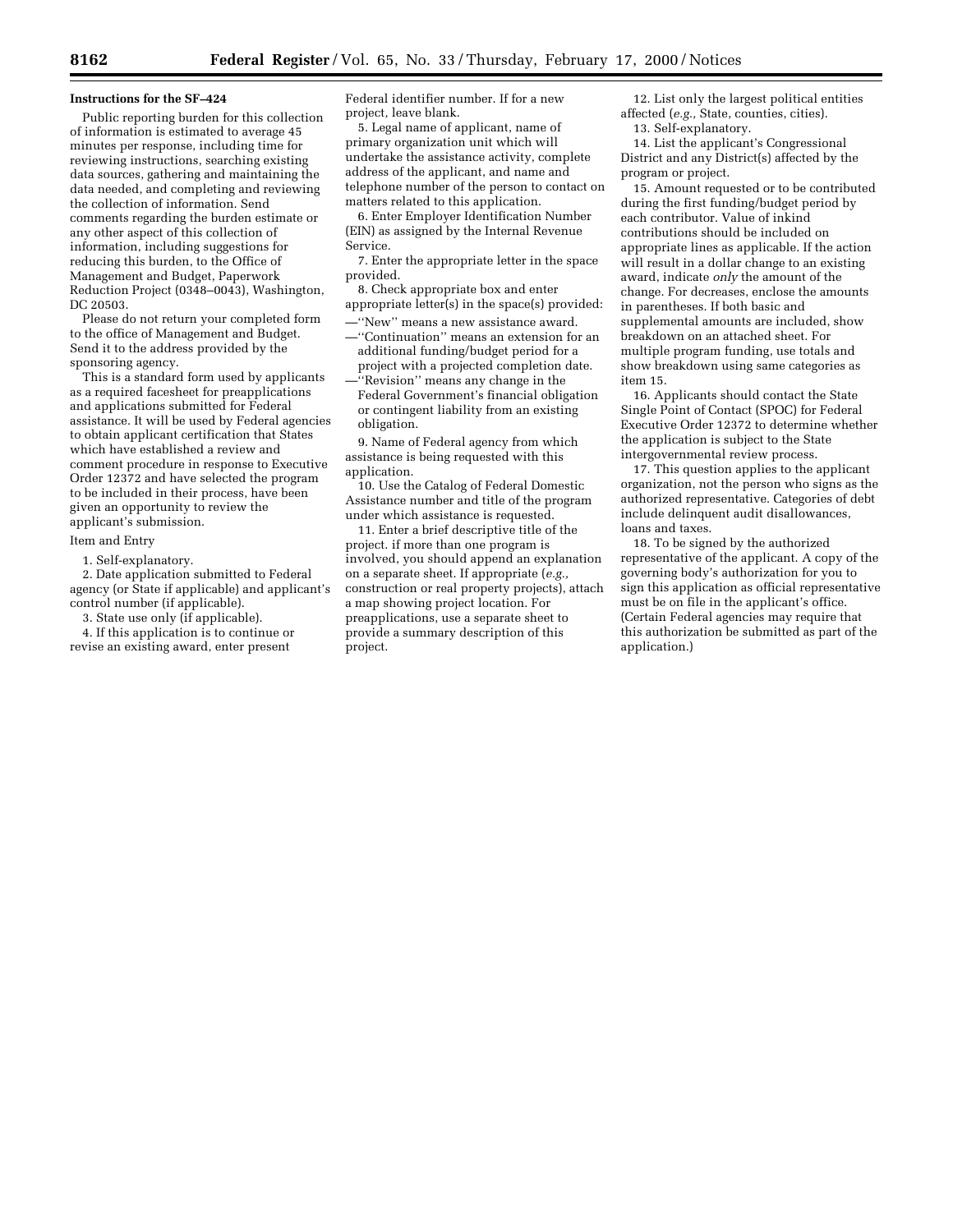#### **Instructions for the SF–424**

Public reporting burden for this collection of information is estimated to average 45 minutes per response, including time for reviewing instructions, searching existing data sources, gathering and maintaining the data needed, and completing and reviewing the collection of information. Send comments regarding the burden estimate or any other aspect of this collection of information, including suggestions for reducing this burden, to the Office of Management and Budget, Paperwork Reduction Project (0348–0043), Washington, DC 20503.

Please do not return your completed form to the office of Management and Budget. Send it to the address provided by the sponsoring agency.

This is a standard form used by applicants as a required facesheet for preapplications and applications submitted for Federal assistance. It will be used by Federal agencies to obtain applicant certification that States which have established a review and comment procedure in response to Executive Order 12372 and have selected the program to be included in their process, have been given an opportunity to review the applicant's submission.

#### Item and Entry

1. Self-explanatory.

2. Date application submitted to Federal agency (or State if applicable) and applicant's control number (if applicable).

3. State use only (if applicable).

4. If this application is to continue or revise an existing award, enter present

Federal identifier number. If for a new project, leave blank.

5. Legal name of applicant, name of primary organization unit which will undertake the assistance activity, complete address of the applicant, and name and telephone number of the person to contact on matters related to this application.

6. Enter Employer Identification Number (EIN) as assigned by the Internal Revenue Service.

7. Enter the appropriate letter in the space provided.

8. Check appropriate box and enter appropriate letter(s) in the space(s) provided:

- —''New'' means a new assistance award. —''Continuation'' means an extension for an additional funding/budget period for a project with a projected completion date.
- —''Revision'' means any change in the Federal Government's financial obligation or contingent liability from an existing obligation.

9. Name of Federal agency from which assistance is being requested with this application.

10. Use the Catalog of Federal Domestic Assistance number and title of the program under which assistance is requested.

11. Enter a brief descriptive title of the project. if more than one program is involved, you should append an explanation on a separate sheet. If appropriate (*e.g.,* construction or real property projects), attach a map showing project location. For preapplications, use a separate sheet to provide a summary description of this project.

12. List only the largest political entities affected (*e.g.,* State, counties, cities). 13. Self-explanatory.

14. List the applicant's Congressional District and any District(s) affected by the program or project.

15. Amount requested or to be contributed during the first funding/budget period by each contributor. Value of inkind contributions should be included on appropriate lines as applicable. If the action will result in a dollar change to an existing award, indicate *only* the amount of the change. For decreases, enclose the amounts in parentheses. If both basic and supplemental amounts are included, show breakdown on an attached sheet. For multiple program funding, use totals and show breakdown using same categories as item 15.

16. Applicants should contact the State Single Point of Contact (SPOC) for Federal Executive Order 12372 to determine whether the application is subject to the State intergovernmental review process.

17. This question applies to the applicant organization, not the person who signs as the authorized representative. Categories of debt include delinquent audit disallowances, loans and taxes.

18. To be signed by the authorized representative of the applicant. A copy of the governing body's authorization for you to sign this application as official representative must be on file in the applicant's office. (Certain Federal agencies may require that this authorization be submitted as part of the application.)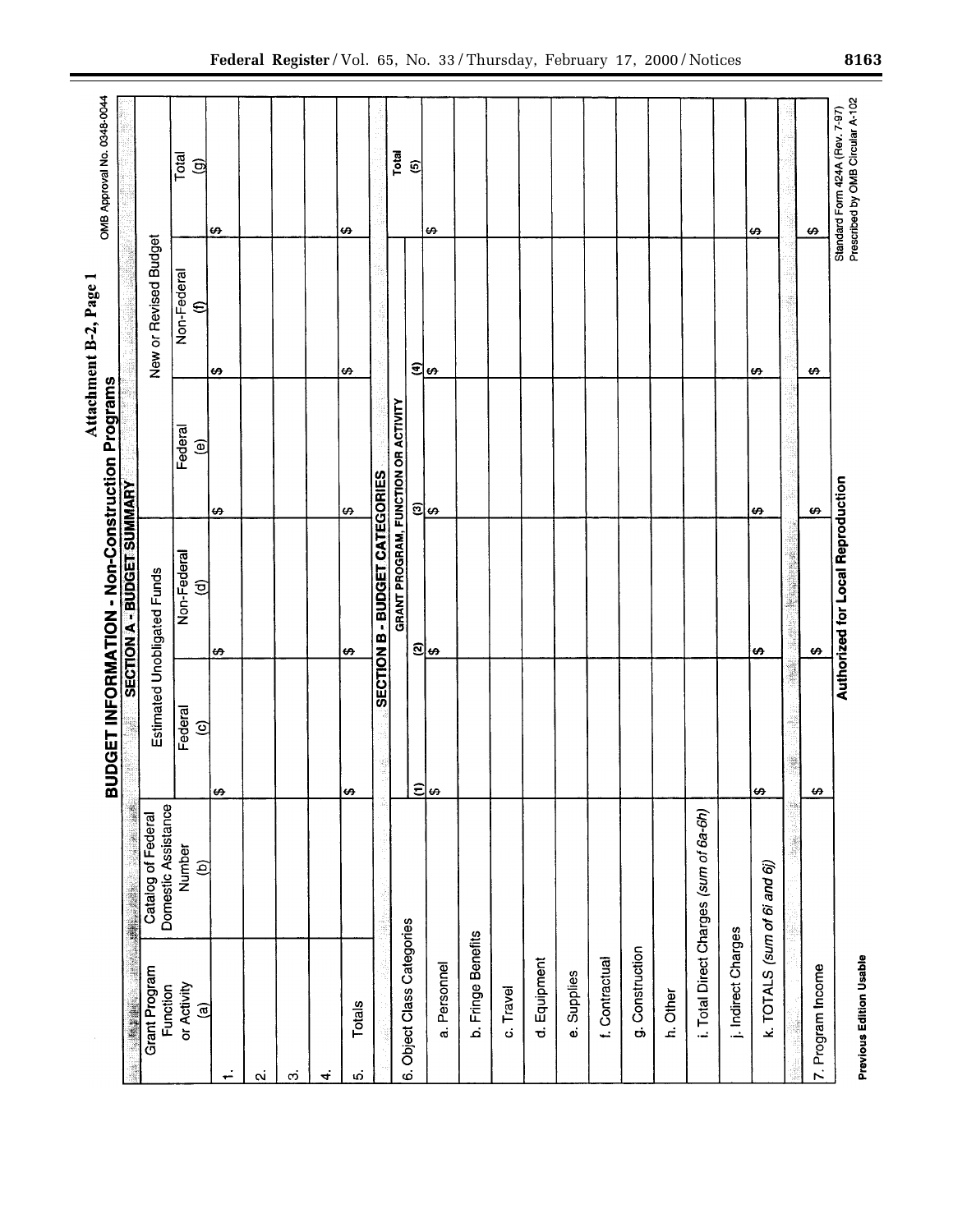|                                                                        | ø                      | <b>UDGET INFORMATION - Non-Construction Programs</b> |                                            | Attachment B-2, Page 1  | OMB Approval No. 0348-0044                                         |
|------------------------------------------------------------------------|------------------------|------------------------------------------------------|--------------------------------------------|-------------------------|--------------------------------------------------------------------|
|                                                                        | 濕                      | <b>SECTION A-BUDGET SUMMARY</b>                      |                                            |                         |                                                                    |
| Domestic Assistance<br>Catalog of Federal<br>Grant Program<br>Function |                        | Estimated Unobligated Funds                          |                                            | New or Revised Budget   |                                                                    |
| Number<br>$\widehat{e}$<br>or Activity<br>$\widehat{a}$                | Federal<br>$\odot$     | Non-Federal<br>$\mathbf{\widehat{e}}$                | Federal<br>$\widehat{e}$                   | Non-Federal<br>$\oplus$ | Total<br>මු                                                        |
| ÷                                                                      | $\leftrightarrow$      | မာ                                                   | ↮                                          | ↮                       | ₩                                                                  |
| $\dot{\mathbf{N}}$                                                     |                        |                                                      |                                            |                         |                                                                    |
| $\mathbf{c}$                                                           |                        |                                                      |                                            |                         |                                                                    |
| 4                                                                      |                        |                                                      |                                            |                         |                                                                    |
| <b>Totals</b><br>ယ္ပ                                                   | $\boldsymbol{\varphi}$ | 49                                                   | ↮                                          | ↮                       | ₩                                                                  |
|                                                                        |                        | <b>SECTION B - BUDGET CATEGORIES</b>                 |                                            |                         |                                                                    |
| 6. Object Class Categories                                             |                        |                                                      | <b>GRANT PROGRAM, FUNCTION OR ACTIVITY</b> |                         | Total                                                              |
|                                                                        | <u> ମ</u> ି⊕           | ସ∣∾                                                  | ືອ∞                                        | ৱ∣∾                     | $\widehat{\mathbf{e}}$                                             |
| a. Personnel                                                           |                        |                                                      |                                            |                         | မာ                                                                 |
| b. Fringe Benefits                                                     |                        |                                                      |                                            |                         |                                                                    |
| c. Travel                                                              |                        |                                                      |                                            |                         |                                                                    |
| d. Equipment                                                           |                        |                                                      |                                            |                         |                                                                    |
| e. Supplies                                                            |                        |                                                      |                                            |                         |                                                                    |
| f. Contractual                                                         |                        |                                                      |                                            |                         |                                                                    |
| g. Construction                                                        |                        |                                                      |                                            |                         |                                                                    |
| h. Other                                                               |                        |                                                      |                                            |                         |                                                                    |
| i. Total Direct Charges (sum of 6a-6h)                                 |                        |                                                      |                                            |                         |                                                                    |
| j. Indirect Charges                                                    |                        |                                                      |                                            |                         |                                                                    |
| k. TOTALS (sum of 6i and 6j)                                           | $\bullet$              | ↔                                                    | ↮                                          | ↮                       | ↮                                                                  |
| a.<br>Na                                                               | j<br>Ø                 |                                                      |                                            |                         |                                                                    |
| 7. Program Income                                                      | ₩                      | ₩                                                    | ↮                                          | ↮                       | ↮                                                                  |
| Previous Edition IIsable                                               |                        | <b>Authorized for Local Reproduction</b>             |                                            |                         | Standard Form 424A (Rev. 7-97)<br>Prescribed by OMB Circular A-102 |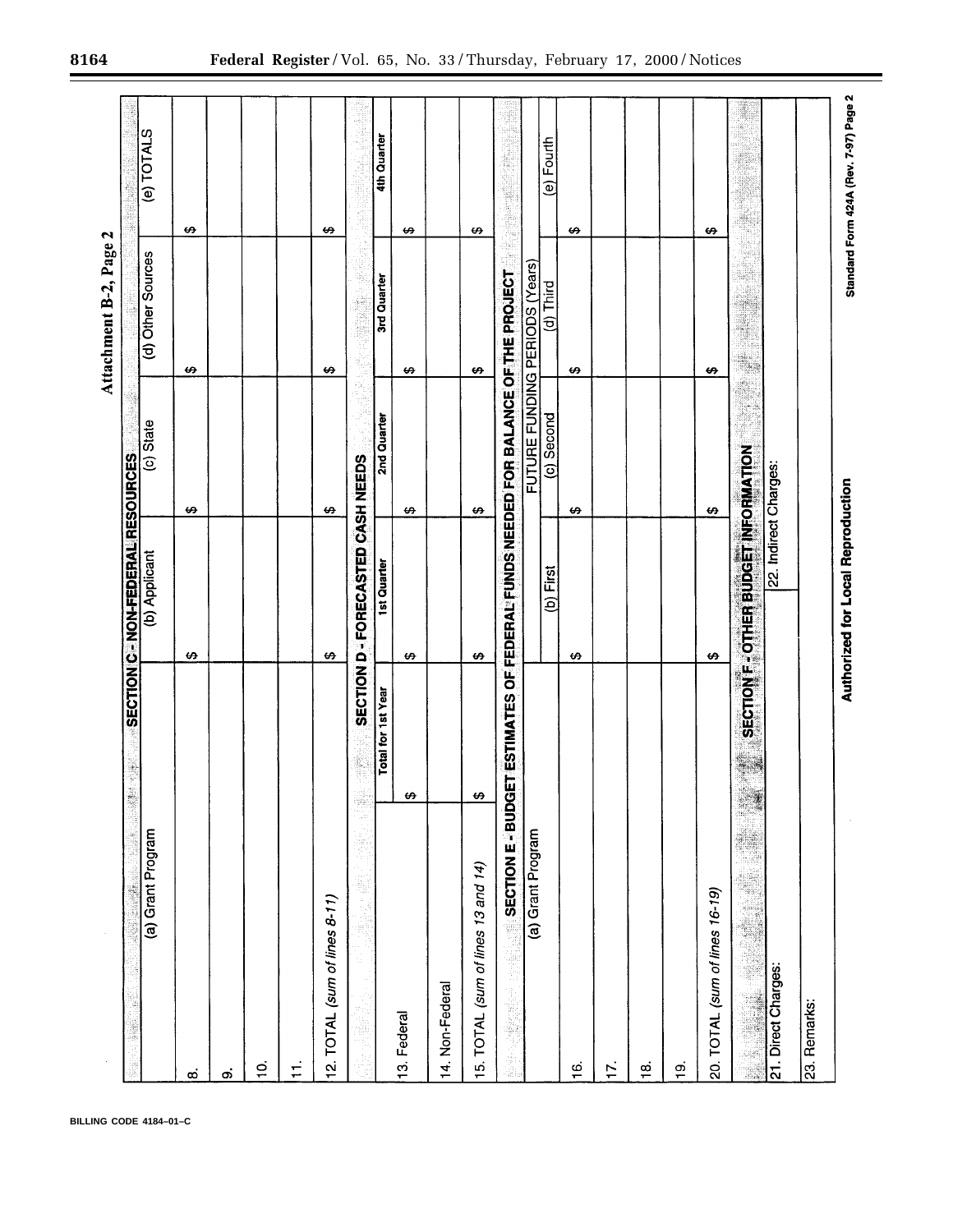|                                                                                                                                                                                                                                                        |                                                                                 |                                           |                       | Attachment B-2, Page 2         |                                       |
|--------------------------------------------------------------------------------------------------------------------------------------------------------------------------------------------------------------------------------------------------------|---------------------------------------------------------------------------------|-------------------------------------------|-----------------------|--------------------------------|---------------------------------------|
|                                                                                                                                                                                                                                                        | Î<br>Ñ                                                                          | <b>SECTION C- NON-FEDERAL RESOURCES</b>   |                       |                                |                                       |
| (a) Grant Program                                                                                                                                                                                                                                      |                                                                                 | (b) Applicant                             | (c) State             | (d) Other Sources              | (e) TOTALS                            |
| ထံ                                                                                                                                                                                                                                                     |                                                                                 | ↮                                         | ↮                     | ↮                              | ₩                                     |
| ெ                                                                                                                                                                                                                                                      |                                                                                 |                                           |                       |                                |                                       |
| ö,                                                                                                                                                                                                                                                     |                                                                                 |                                           |                       |                                |                                       |
| $\div$                                                                                                                                                                                                                                                 |                                                                                 |                                           |                       |                                |                                       |
| 12. TOTAL (sum of lines 8-11)                                                                                                                                                                                                                          |                                                                                 | $\boldsymbol{\varphi}$                    | ₩                     | ↮                              | ↔                                     |
| ŵ<br>Š,<br>M.<br>Fri<br>ing the second second second to the second second second to the second second second second to the second second second second second second second second second second second second second second second second second seco | uş<br>Se                                                                        | SECTION D-FORECASTED CASH NEEDS           |                       | ð,                             |                                       |
|                                                                                                                                                                                                                                                        | Total for 1st Year                                                              | <b>1st Quarter</b>                        | 2nd Quarter           | 3rd Quarter                    | 4th Quarter                           |
| 13. Federal                                                                                                                                                                                                                                            | ↮                                                                               | ↮                                         | ↮                     | မာ                             | ↮                                     |
| 14. Non-Federal                                                                                                                                                                                                                                        |                                                                                 |                                           |                       |                                |                                       |
| TOTAL (sum of lines 13 and 14)<br>$\overline{5}$ .                                                                                                                                                                                                     | ↔                                                                               | ₩                                         | ↔                     | 49                             | ₩                                     |
| Ŵ<br>9<br>ğ.<br>ia<br>Rist                                                                                                                                                                                                                             | SECTION E - BUDGET ESTIMATES OF FEDERAL FUNDS NEEDED FOR BALANCE OF THE PROJECT |                                           |                       |                                | 17                                    |
| (a) Grant Program                                                                                                                                                                                                                                      |                                                                                 |                                           |                       | FUTURE FUNDING PERIODS (Years) |                                       |
|                                                                                                                                                                                                                                                        |                                                                                 | (b) First                                 | (c) Second            | (d) Third                      | (e) Fourth                            |
| $\tilde{e}$                                                                                                                                                                                                                                            |                                                                                 | ↮                                         | မာ                    | ₩                              | ↮                                     |
| 17.                                                                                                                                                                                                                                                    |                                                                                 |                                           |                       |                                |                                       |
| $\overline{a}$                                                                                                                                                                                                                                         |                                                                                 |                                           |                       |                                |                                       |
| <u>଼ି</u>                                                                                                                                                                                                                                              |                                                                                 |                                           |                       |                                |                                       |
| 20. TOTAL (sum of lines 16-19)                                                                                                                                                                                                                         |                                                                                 | $\leftrightarrow$                         | 49                    | ↮                              | ↮                                     |
|                                                                                                                                                                                                                                                        |                                                                                 | <b>SECTION F-OTHER BUDGET INFORMATION</b> |                       | Ŕ                              | ı<br>Î.                               |
| 21. Direct Charges:                                                                                                                                                                                                                                    |                                                                                 |                                           | 22. Indirect Charges: |                                |                                       |
| 23. Remarks:                                                                                                                                                                                                                                           |                                                                                 |                                           |                       |                                |                                       |
|                                                                                                                                                                                                                                                        |                                                                                 | <b>Authorized for Local Reproduction</b>  |                       |                                | Standard Form 424A (Rev. 7-97) Page 2 |

**BILLING CODE 4184–01–C**

 $\blacksquare$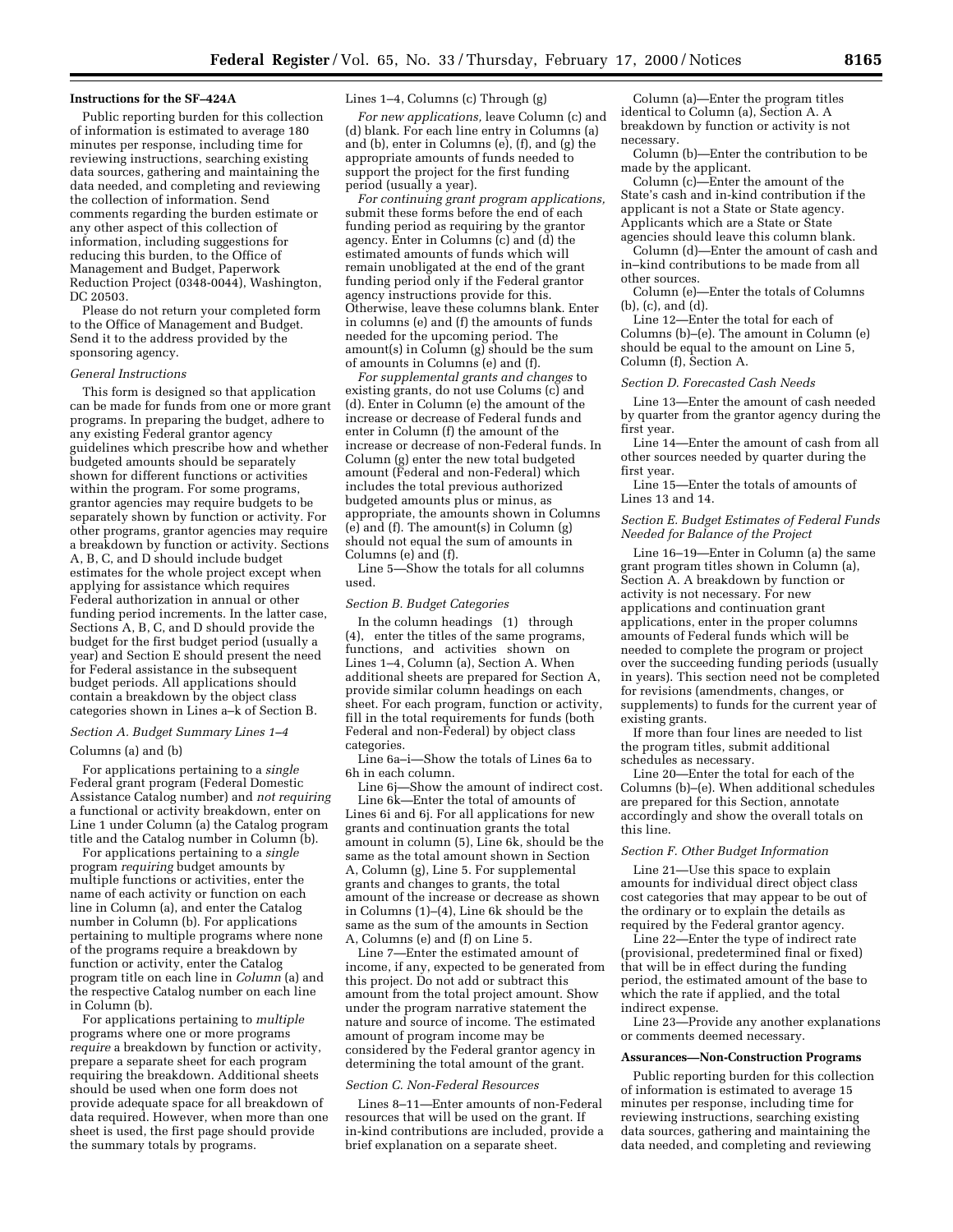#### **Instructions for the SF–424A**

Public reporting burden for this collection of information is estimated to average 180 minutes per response, including time for reviewing instructions, searching existing data sources, gathering and maintaining the data needed, and completing and reviewing the collection of information. Send comments regarding the burden estimate or any other aspect of this collection of information, including suggestions for reducing this burden, to the Office of Management and Budget, Paperwork Reduction Project (0348-0044), Washington, DC 20503.

Please do not return your completed form to the Office of Management and Budget. Send it to the address provided by the sponsoring agency.

#### *General Instructions*

This form is designed so that application can be made for funds from one or more grant programs. In preparing the budget, adhere to any existing Federal grantor agency guidelines which prescribe how and whether budgeted amounts should be separately shown for different functions or activities within the program. For some programs, grantor agencies may require budgets to be separately shown by function or activity. For other programs, grantor agencies may require a breakdown by function or activity. Sections A, B, C, and D should include budget estimates for the whole project except when applying for assistance which requires Federal authorization in annual or other funding period increments. In the latter case, Sections A, B, C, and D should provide the budget for the first budget period (usually a year) and Section E should present the need for Federal assistance in the subsequent budget periods. All applications should contain a breakdown by the object class categories shown in Lines a–k of Section B.

*Section A. Budget Summary Lines 1–4*

### Columns (a) and (b)

For applications pertaining to a *single* Federal grant program (Federal Domestic Assistance Catalog number) and *not requiring* a functional or activity breakdown, enter on Line 1 under Column (a) the Catalog program title and the Catalog number in Column (b).

For applications pertaining to a *single* program *requiring* budget amounts by multiple functions or activities, enter the name of each activity or function on each line in Column (a), and enter the Catalog number in Column (b). For applications pertaining to multiple programs where none of the programs require a breakdown by function or activity, enter the Catalog program title on each line in *Column* (a) and the respective Catalog number on each line in Column (b).

For applications pertaining to *multiple* programs where one or more programs *require* a breakdown by function or activity, prepare a separate sheet for each program requiring the breakdown. Additional sheets should be used when one form does not provide adequate space for all breakdown of data required. However, when more than one sheet is used, the first page should provide the summary totals by programs.

#### Lines 1–4, Columns (c) Through (g)

*For new applications,* leave Column (c) and (d) blank. For each line entry in Columns (a) and (b), enter in Columns (e), (f), and (g) the appropriate amounts of funds needed to support the project for the first funding period (usually a year).

*For continuing grant program applications,* submit these forms before the end of each funding period as requiring by the grantor agency. Enter in Columns (c) and (d) the estimated amounts of funds which will remain unobligated at the end of the grant funding period only if the Federal grantor agency instructions provide for this. Otherwise, leave these columns blank. Enter in columns (e) and (f) the amounts of funds needed for the upcoming period. The amount(s) in Column  $(g)$  should be the sum of amounts in Columns (e) and (f).

*For supplemental grants and changes* to existing grants, do not use Colums (c) and (d). Enter in Column (e) the amount of the increase or decrease of Federal funds and enter in Column (f) the amount of the increase or decrease of non-Federal funds. In Column (g) enter the new total budgeted amount (Federal and non-Federal) which includes the total previous authorized budgeted amounts plus or minus, as appropriate, the amounts shown in Columns (e) and (f). The amount(s) in Column (g) should not equal the sum of amounts in Columns (e) and (f).

Line 5—Show the totals for all columns used.

#### *Section B. Budget Categories*

In the column headings (1) through (4), enter the titles of the same programs, functions, and activities shown on Lines 1–4, Column (a), Section A. When additional sheets are prepared for Section A, provide similar column headings on each sheet. For each program, function or activity, fill in the total requirements for funds (both Federal and non-Federal) by object class categories.

Line 6a–i—Show the totals of Lines 6a to 6h in each column.

Line 6j—Show the amount of indirect cost. Line 6k—Enter the total of amounts of Lines 6i and 6j. For all applications for new grants and continuation grants the total amount in column (5), Line 6k, should be the same as the total amount shown in Section A, Column (g), Line 5. For supplemental grants and changes to grants, the total amount of the increase or decrease as shown in Columns (1)–(4), Line 6k should be the same as the sum of the amounts in Section A, Columns (e) and (f) on Line 5.

Line 7—Enter the estimated amount of income, if any, expected to be generated from this project. Do not add or subtract this amount from the total project amount. Show under the program narrative statement the nature and source of income. The estimated amount of program income may be considered by the Federal grantor agency in determining the total amount of the grant.

#### *Section C. Non-Federal Resources*

Lines 8–11—Enter amounts of non-Federal resources that will be used on the grant. If in-kind contributions are included, provide a brief explanation on a separate sheet.

Column (a)—Enter the program titles identical to Column (a), Section A. A breakdown by function or activity is not necessary.

Column (b)—Enter the contribution to be made by the applicant.

Column (c)—Enter the amount of the State's cash and in-kind contribution if the applicant is not a State or State agency. Applicants which are a State or State

agencies should leave this column blank. Column (d)—Enter the amount of cash and in–kind contributions to be made from all other sources.

Column (e)—Enter the totals of Columns (b), (c), and (d).

Line 12—Enter the total for each of Columns (b)–(e). The amount in Column (e) should be equal to the amount on Line 5, Column (f), Section A.

### *Section D. Forecasted Cash Needs*

Line 13—Enter the amount of cash needed by quarter from the grantor agency during the first year.

Line 14—Enter the amount of cash from all other sources needed by quarter during the first year.

Line 15—Enter the totals of amounts of Lines 13 and 14.

*Section E. Budget Estimates of Federal Funds Needed for Balance of the Project*

Line 16–19—Enter in Column (a) the same grant program titles shown in Column (a), Section A. A breakdown by function or activity is not necessary. For new applications and continuation grant applications, enter in the proper columns amounts of Federal funds which will be needed to complete the program or project over the succeeding funding periods (usually in years). This section need not be completed for revisions (amendments, changes, or supplements) to funds for the current year of existing grants.

If more than four lines are needed to list the program titles, submit additional schedules as necessary.

Line 20—Enter the total for each of the Columns (b)–(e). When additional schedules are prepared for this Section, annotate accordingly and show the overall totals on this line.

#### *Section F. Other Budget Information*

Line 21—Use this space to explain amounts for individual direct object class cost categories that may appear to be out of the ordinary or to explain the details as required by the Federal grantor agency.

Line 22—Enter the type of indirect rate (provisional, predetermined final or fixed) that will be in effect during the funding period, the estimated amount of the base to which the rate if applied, and the total indirect expense.

Line 23—Provide any another explanations or comments deemed necessary.

#### **Assurances—Non-Construction Programs**

Public reporting burden for this collection of information is estimated to average 15 minutes per response, including time for reviewing instructions, searching existing data sources, gathering and maintaining the data needed, and completing and reviewing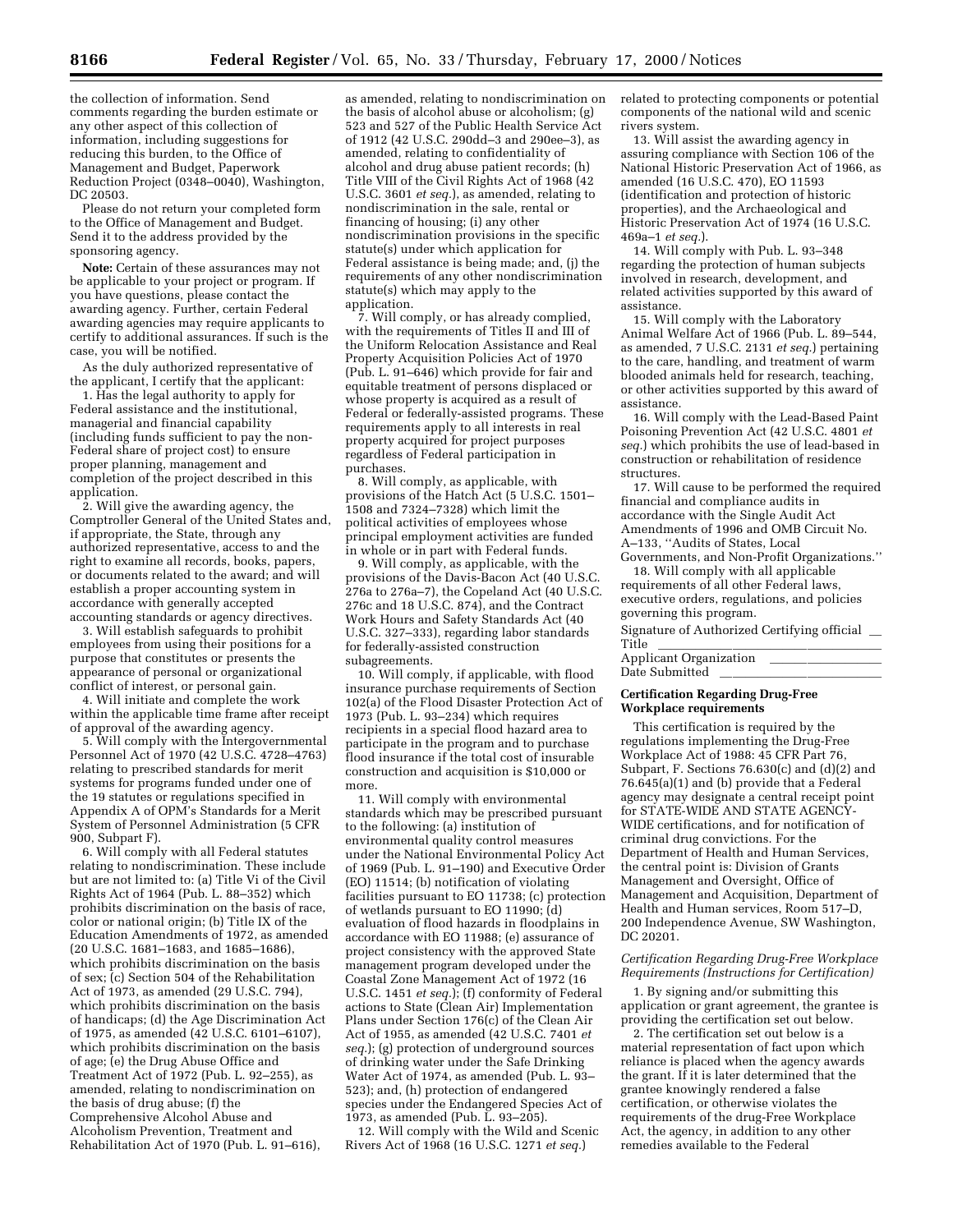the collection of information. Send comments regarding the burden estimate or any other aspect of this collection of information, including suggestions for reducing this burden, to the Office of Management and Budget, Paperwork Reduction Project (0348–0040), Washington, DC 20503.

Please do not return your completed form to the Office of Management and Budget. Send it to the address provided by the sponsoring agency.

**Note:** Certain of these assurances may not be applicable to your project or program. If you have questions, please contact the awarding agency. Further, certain Federal awarding agencies may require applicants to certify to additional assurances. If such is the case, you will be notified.

As the duly authorized representative of the applicant, I certify that the applicant:

1. Has the legal authority to apply for Federal assistance and the institutional, managerial and financial capability (including funds sufficient to pay the non-Federal share of project cost) to ensure proper planning, management and completion of the project described in this application.

2. Will give the awarding agency, the Comptroller General of the United States and, if appropriate, the State, through any authorized representative, access to and the right to examine all records, books, papers, or documents related to the award; and will establish a proper accounting system in accordance with generally accepted accounting standards or agency directives.

3. Will establish safeguards to prohibit employees from using their positions for a purpose that constitutes or presents the appearance of personal or organizational conflict of interest, or personal gain.

4. Will initiate and complete the work within the applicable time frame after receipt of approval of the awarding agency.

5. Will comply with the Intergovernmental Personnel Act of 1970 (42 U.S.C. 4728–4763) relating to prescribed standards for merit systems for programs funded under one of the 19 statutes or regulations specified in Appendix A of OPM's Standards for a Merit System of Personnel Administration (5 CFR 900, Subpart F).

6. Will comply with all Federal statutes relating to nondiscrimination. These include but are not limited to: (a) Title Vi of the Civil Rights Act of 1964 (Pub. L. 88–352) which prohibits discrimination on the basis of race, color or national origin; (b) Title IX of the Education Amendments of 1972, as amended (20 U.S.C. 1681–1683, and 1685–1686), which prohibits discrimination on the basis of sex; (c) Section 504 of the Rehabilitation Act of 1973, as amended (29 U.S.C. 794), which prohibits discrimination on the basis of handicaps; (d) the Age Discrimination Act of 1975, as amended (42 U.S.C. 6101–6107), which prohibits discrimination on the basis of age; (e) the Drug Abuse Office and Treatment Act of 1972 (Pub. L. 92–255), as amended, relating to nondiscrimination on the basis of drug abuse; (f) the Comprehensive Alcohol Abuse and Alcoholism Prevention, Treatment and Rehabilitation Act of 1970 (Pub. L. 91–616),

as amended, relating to nondiscrimination on the basis of alcohol abuse or alcoholism; (g) 523 and 527 of the Public Health Service Act of 1912 (42 U.S.C. 290dd–3 and 290ee–3), as amended, relating to confidentiality of alcohol and drug abuse patient records; (h) Title VIII of the Civil Rights Act of 1968 (42 U.S.C. 3601 *et seq.*), as amended, relating to nondiscrimination in the sale, rental or financing of housing; (i) any other nondiscrimination provisions in the specific statute(s) under which application for Federal assistance is being made; and, (j) the requirements of any other nondiscrimination statute(s) which may apply to the application.

7. Will comply, or has already complied, with the requirements of Titles II and III of the Uniform Relocation Assistance and Real Property Acquisition Policies Act of 1970 (Pub. L. 91–646) which provide for fair and equitable treatment of persons displaced or whose property is acquired as a result of Federal or federally-assisted programs. These requirements apply to all interests in real property acquired for project purposes regardless of Federal participation in purchases.

8. Will comply, as applicable, with provisions of the Hatch Act (5 U.S.C. 1501– 1508 and 7324–7328) which limit the political activities of employees whose principal employment activities are funded in whole or in part with Federal funds.

9. Will comply, as applicable, with the provisions of the Davis-Bacon Act (40 U.S.C.  $276a$  to 276a–7), the Copeland Act (40 U.S.C. 276c and 18 U.S.C. 874), and the Contract Work Hours and Safety Standards Act (40 U.S.C. 327–333), regarding labor standards for federally-assisted construction subagreements.

10. Will comply, if applicable, with flood insurance purchase requirements of Section 102(a) of the Flood Disaster Protection Act of 1973 (Pub. L. 93–234) which requires recipients in a special flood hazard area to participate in the program and to purchase flood insurance if the total cost of insurable construction and acquisition is \$10,000 or more.

11. Will comply with environmental standards which may be prescribed pursuant to the following: (a) institution of environmental quality control measures under the National Environmental Policy Act of 1969 (Pub. L. 91–190) and Executive Order (EO) 11514; (b) notification of violating facilities pursuant to EO 11738; (c) protection of wetlands pursuant to EO 11990; (d) evaluation of flood hazards in floodplains in accordance with EO 11988; (e) assurance of project consistency with the approved State management program developed under the Coastal Zone Management Act of 1972 (16 U.S.C. 1451 *et seq.*); (f) conformity of Federal actions to State (Clean Air) Implementation Plans under Section 176(c) of the Clean Air Act of 1955, as amended (42 U.S.C. 7401 *et seq.*); (g) protection of underground sources of drinking water under the Safe Drinking Water Act of 1974, as amended (Pub. L. 93– 523); and, (h) protection of endangered species under the Endangered Species Act of 1973, as amended (Pub. L. 93–205).

12. Will comply with the Wild and Scenic Rivers Act of 1968 (16 U.S.C. 1271 *et seq.*)

related to protecting components or potential components of the national wild and scenic rivers system.

13. Will assist the awarding agency in assuring compliance with Section 106 of the National Historic Preservation Act of 1966, as amended (16 U.S.C. 470), EO 11593 (identification and protection of historic properties), and the Archaeological and Historic Preservation Act of 1974 (16 U.S.C. 469a–1 *et seq.*).

14. Will comply with Pub. L. 93–348 regarding the protection of human subjects involved in research, development, and related activities supported by this award of assistance.

15. Will comply with the Laboratory Animal Welfare Act of 1966 (Pub. L. 89–544, as amended, 7 U.S.C. 2131 *et seq.*) pertaining to the care, handling, and treatment of warm blooded animals held for research, teaching, or other activities supported by this award of assistance.

16. Will comply with the Lead-Based Paint Poisoning Prevention Act (42 U.S.C. 4801 *et seq.*) which prohibits the use of lead-based in construction or rehabilitation of residence structures.

17. Will cause to be performed the required financial and compliance audits in accordance with the Single Audit Act Amendments of 1996 and OMB Circuit No. A–133, ''Audits of States, Local Governments, and Non-Profit Organizations.''

18. Will comply with all applicable requirements of all other Federal laws, executive orders, regulations, and policies governing this program.

Signature of Authorized Certifying official l Title llllllllllllllllll

| <b>Applicant Organization</b> |  |
|-------------------------------|--|
| Date Submitted                |  |

#### **Certification Regarding Drug-Free Workplace requirements**

This certification is required by the regulations implementing the Drug-Free Workplace Act of 1988: 45 CFR Part 76, Subpart, F. Sections 76.630(c) and (d)(2) and 76.645(a)(1) and (b) provide that a Federal agency may designate a central receipt point for STATE-WIDE AND STATE AGENCY-WIDE certifications, and for notification of criminal drug convictions. For the Department of Health and Human Services, the central point is: Division of Grants Management and Oversight, Office of Management and Acquisition, Department of Health and Human services, Room 517–D, 200 Independence Avenue, SW Washington, DC 20201.

### *Certification Regarding Drug-Free Workplace Requirements (Instructions for Certification)*

1. By signing and/or submitting this application or grant agreement, the grantee is providing the certification set out below.

2. The certification set out below is a material representation of fact upon which reliance is placed when the agency awards the grant. If it is later determined that the grantee knowingly rendered a false certification, or otherwise violates the requirements of the drug-Free Workplace Act, the agency, in addition to any other remedies available to the Federal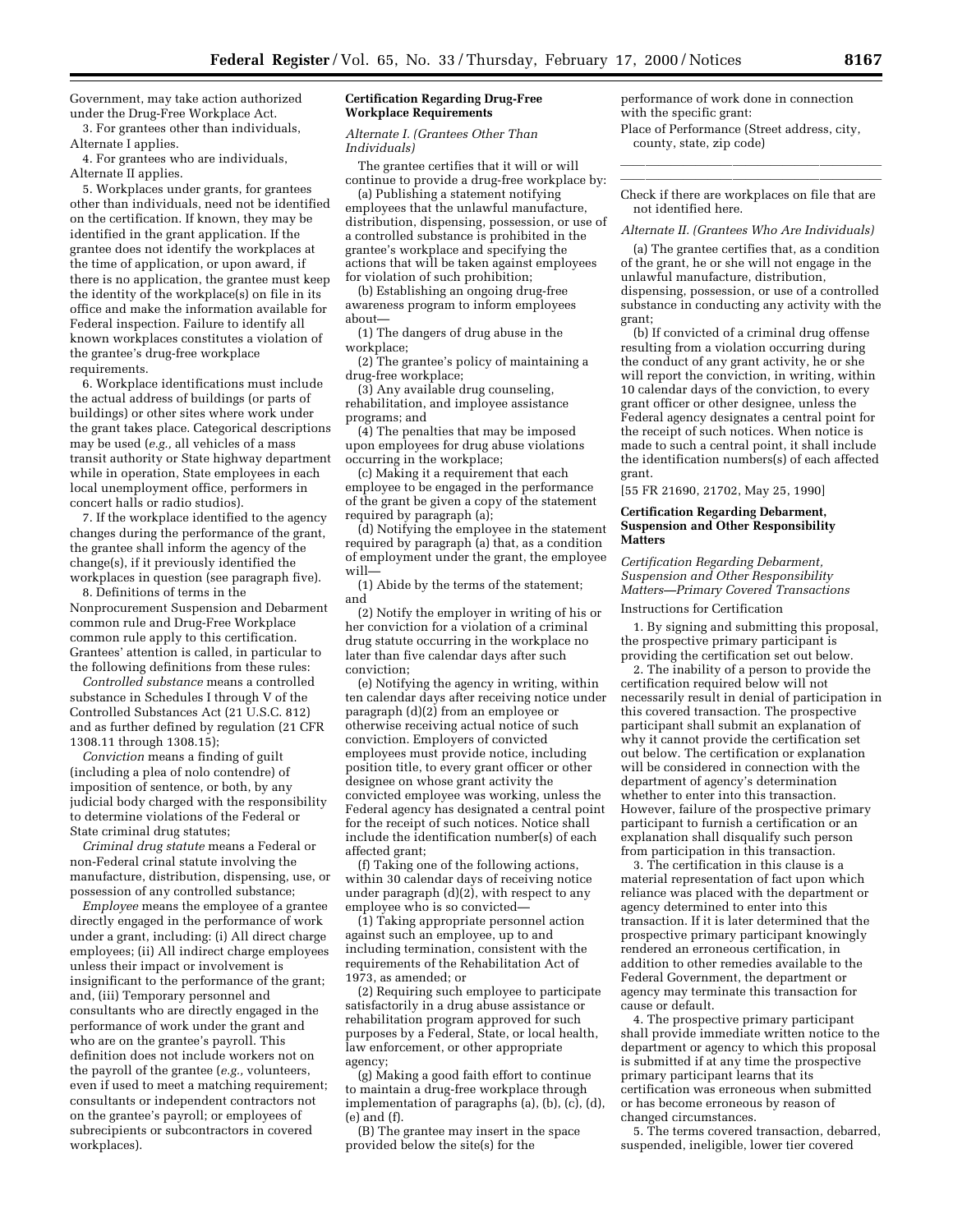Government, may take action authorized under the Drug-Free Workplace Act. 3. For grantees other than individuals,

Alternate I applies.

4. For grantees who are individuals, Alternate II applies.

5. Workplaces under grants, for grantees other than individuals, need not be identified on the certification. If known, they may be identified in the grant application. If the grantee does not identify the workplaces at the time of application, or upon award, if there is no application, the grantee must keep the identity of the workplace(s) on file in its office and make the information available for Federal inspection. Failure to identify all known workplaces constitutes a violation of the grantee's drug-free workplace requirements.

6. Workplace identifications must include the actual address of buildings (or parts of buildings) or other sites where work under the grant takes place. Categorical descriptions may be used (*e.g.,* all vehicles of a mass transit authority or State highway department while in operation, State employees in each local unemployment office, performers in concert halls or radio studios).

7. If the workplace identified to the agency changes during the performance of the grant, the grantee shall inform the agency of the change(s), if it previously identified the workplaces in question (see paragraph five).

8. Definitions of terms in the Nonprocurement Suspension and Debarment common rule and Drug-Free Workplace common rule apply to this certification. Grantees' attention is called, in particular to the following definitions from these rules:

*Controlled substance* means a controlled substance in Schedules I through V of the Controlled Substances Act (21 U.S.C. 812) and as further defined by regulation (21 CFR 1308.11 through 1308.15);

*Conviction* means a finding of guilt (including a plea of nolo contendre) of imposition of sentence, or both, by any judicial body charged with the responsibility to determine violations of the Federal or State criminal drug statutes;

*Criminal drug statute* means a Federal or non-Federal crinal statute involving the manufacture, distribution, dispensing, use, or possession of any controlled substance;

*Employee* means the employee of a grantee directly engaged in the performance of work under a grant, including: (i) All direct charge employees; (ii) All indirect charge employees unless their impact or involvement is insignificant to the performance of the grant; and, (iii) Temporary personnel and consultants who are directly engaged in the performance of work under the grant and who are on the grantee's payroll. This definition does not include workers not on the payroll of the grantee (*e.g.,* volunteers, even if used to meet a matching requirement; consultants or independent contractors not on the grantee's payroll; or employees of subrecipients or subcontractors in covered workplaces).

#### **Certification Regarding Drug-Free Workplace Requirements**

*Alternate I. (Grantees Other Than Individuals)*

The grantee certifies that it will or will continue to provide a drug-free workplace by:

(a) Publishing a statement notifying employees that the unlawful manufacture, distribution, dispensing, possession, or use of a controlled substance is prohibited in the grantee's workplace and specifying the actions that will be taken against employees for violation of such prohibition;

(b) Establishing an ongoing drug-free awareness program to inform employees about—

(1) The dangers of drug abuse in the workplace;

(2) The grantee's policy of maintaining a drug-free workplace;

(3) Any available drug counseling, rehabilitation, and imployee assistance programs; and

(4) The penalties that may be imposed upon employees for drug abuse violations occurring in the workplace;

(c) Making it a requirement that each employee to be engaged in the performance of the grant be given a copy of the statement required by paragraph (a);

(d) Notifying the employee in the statement required by paragraph (a) that, as a condition of employment under the grant, the employee will

(1) Abide by the terms of the statement; and

(2) Notify the employer in writing of his or her conviction for a violation of a criminal drug statute occurring in the workplace no later than five calendar days after such conviction;

(e) Notifying the agency in writing, within ten calendar days after receiving notice under paragraph (d)(2) from an employee or otherwise receiving actual notice of such conviction. Employers of convicted employees must provide notice, including position title, to every grant officer or other designee on whose grant activity the convicted employee was working, unless the Federal agency has designated a central point for the receipt of such notices. Notice shall include the identification number(s) of each affected grant;

(f) Taking one of the following actions, within 30 calendar days of receiving notice under paragraph (d)(2), with respect to any employee who is so convicted—

(1) Taking appropriate personnel action against such an employee, up to and including termination, consistent with the requirements of the Rehabilitation Act of 1973, as amended; or

(2) Requiring such employee to participate satisfactorily in a drug abuse assistance or rehabilitation program approved for such purposes by a Federal, State, or local health, law enforcement, or other appropriate agency;

(g) Making a good faith effort to continue to maintain a drug-free workplace through implementation of paragraphs (a), (b), (c), (d), (e) and (f).

(B) The grantee may insert in the space provided below the site(s) for the

performance of work done in connection with the specific grant: Place of Performance (Street address, city, county, state, zip code)

llille i den stats av den stats av den stats av den stats av den stats av den stats av den stats av den stats Check if there are workplaces on file that are not identified here.

llille i den stats av den stats av den stats av den stats av den stats av den stats av den stats av den stats

*Alternate II. (Grantees Who Are Individuals)*

(a) The grantee certifies that, as a condition of the grant, he or she will not engage in the unlawful manufacture, distribution, dispensing, possession, or use of a controlled substance in conducting any activity with the grant;

(b) If convicted of a criminal drug offense resulting from a violation occurring during the conduct of any grant activity, he or she will report the conviction, in writing, within 10 calendar days of the conviction, to every grant officer or other designee, unless the Federal agency designates a central point for the receipt of such notices. When notice is made to such a central point, it shall include the identification numbers(s) of each affected grant.

[55 FR 21690, 21702, May 25, 1990]

#### **Certification Regarding Debarment, Suspension and Other Responsibility Matters**

*Certification Regarding Debarment, Suspension and Other Responsibility Matters—Primary Covered Transactions*

#### Instructions for Certification

1. By signing and submitting this proposal, the prospective primary participant is providing the certification set out below.

2. The inability of a person to provide the certification required below will not necessarily result in denial of participation in this covered transaction. The prospective participant shall submit an explanation of why it cannot provide the certification set out below. The certification or explanation will be considered in connection with the department of agency's determination whether to enter into this transaction. However, failure of the prospective primary participant to furnish a certification or an explanation shall disqualify such person from participation in this transaction.

3. The certification in this clause is a material representation of fact upon which reliance was placed with the department or agency determined to enter into this transaction. If it is later determined that the prospective primary participant knowingly rendered an erroneous certification, in addition to other remedies available to the Federal Government, the department or agency may terminate this transaction for cause or default.

4. The prospective primary participant shall provide immediate written notice to the department or agency to which this proposal is submitted if at any time the prospective primary participant learns that its certification was erroneous when submitted or has become erroneous by reason of changed circumstances.

5. The terms covered transaction, debarred, suspended, ineligible, lower tier covered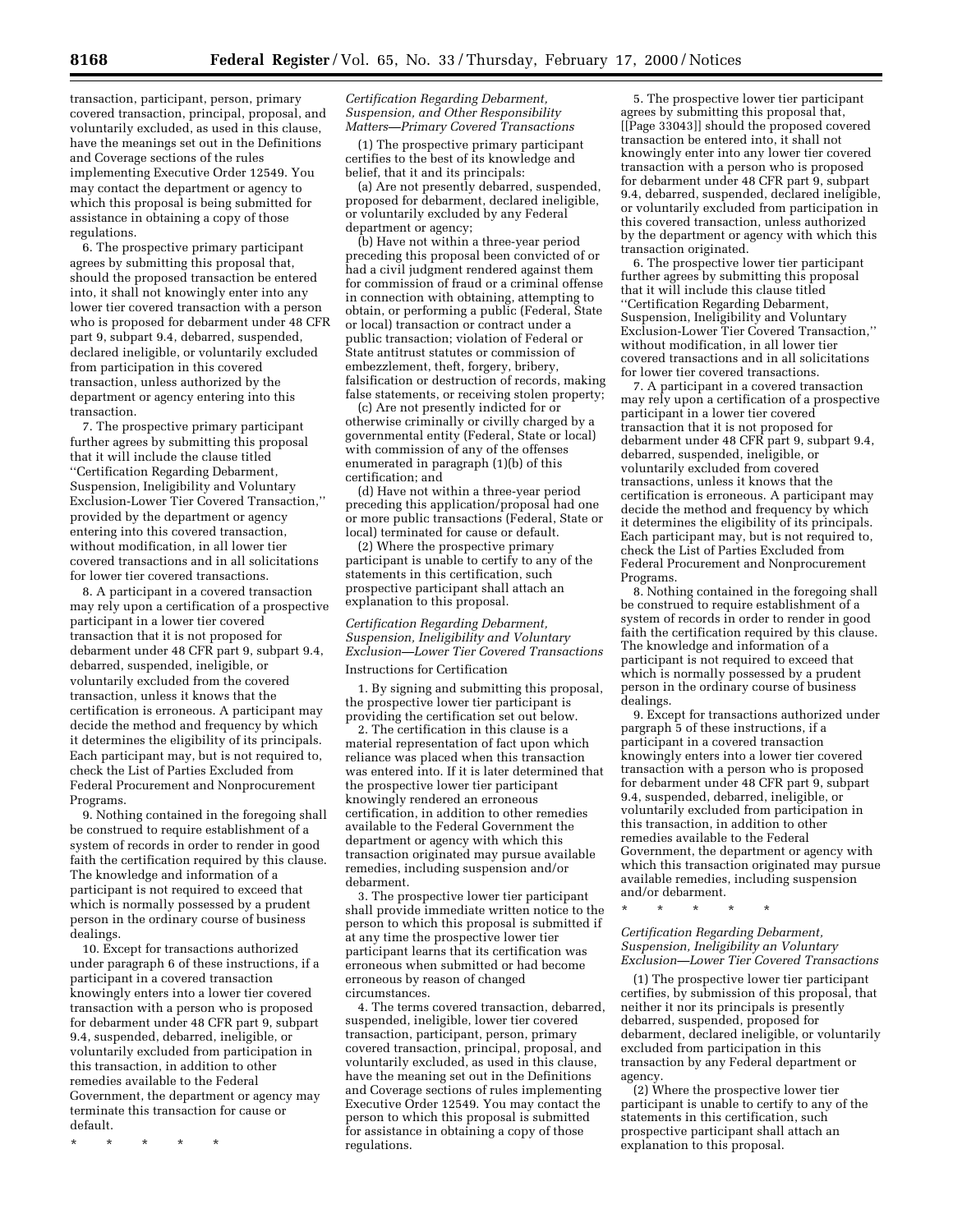transaction, participant, person, primary covered transaction, principal, proposal, and voluntarily excluded, as used in this clause, have the meanings set out in the Definitions and Coverage sections of the rules implementing Executive Order 12549. You may contact the department or agency to which this proposal is being submitted for assistance in obtaining a copy of those regulations.

6. The prospective primary participant agrees by submitting this proposal that, should the proposed transaction be entered into, it shall not knowingly enter into any lower tier covered transaction with a person who is proposed for debarment under 48 CFR part 9, subpart 9.4, debarred, suspended, declared ineligible, or voluntarily excluded from participation in this covered transaction, unless authorized by the department or agency entering into this transaction.

7. The prospective primary participant further agrees by submitting this proposal that it will include the clause titled ''Certification Regarding Debarment, Suspension, Ineligibility and Voluntary Exclusion-Lower Tier Covered Transaction,'' provided by the department or agency entering into this covered transaction, without modification, in all lower tier covered transactions and in all solicitations for lower tier covered transactions.

8. A participant in a covered transaction may rely upon a certification of a prospective participant in a lower tier covered transaction that it is not proposed for debarment under 48 CFR part 9, subpart 9.4, debarred, suspended, ineligible, or voluntarily excluded from the covered transaction, unless it knows that the certification is erroneous. A participant may decide the method and frequency by which it determines the eligibility of its principals. Each participant may, but is not required to, check the List of Parties Excluded from Federal Procurement and Nonprocurement Programs.

9. Nothing contained in the foregoing shall be construed to require establishment of a system of records in order to render in good faith the certification required by this clause. The knowledge and information of a participant is not required to exceed that which is normally possessed by a prudent person in the ordinary course of business dealings.

10. Except for transactions authorized under paragraph 6 of these instructions, if a participant in a covered transaction knowingly enters into a lower tier covered transaction with a person who is proposed for debarment under 48 CFR part 9, subpart 9.4, suspended, debarred, ineligible, or voluntarily excluded from participation in this transaction, in addition to other remedies available to the Federal Government, the department or agency may terminate this transaction for cause or default.

\* \* \* \* \*

*Certification Regarding Debarment, Suspension, and Other Responsibility Matters—Primary Covered Transactions*

(1) The prospective primary participant certifies to the best of its knowledge and belief, that it and its principals:

(a) Are not presently debarred, suspended, proposed for debarment, declared ineligible, or voluntarily excluded by any Federal department or agency;

(b) Have not within a three-year period preceding this proposal been convicted of or had a civil judgment rendered against them for commission of fraud or a criminal offense in connection with obtaining, attempting to obtain, or performing a public (Federal, State or local) transaction or contract under a public transaction; violation of Federal or State antitrust statutes or commission of embezzlement, theft, forgery, bribery, falsification or destruction of records, making false statements, or receiving stolen property;

(c) Are not presently indicted for or otherwise criminally or civilly charged by a governmental entity (Federal, State or local) with commission of any of the offenses enumerated in paragraph (1)(b) of this certification; and

(d) Have not within a three-year period preceding this application/proposal had one or more public transactions (Federal, State or local) terminated for cause or default.

(2) Where the prospective primary participant is unable to certify to any of the statements in this certification, such prospective participant shall attach an explanation to this proposal.

*Certification Regarding Debarment, Suspension, Ineligibility and Voluntary Exclusion—Lower Tier Covered Transactions* Instructions for Certification

1. By signing and submitting this proposal, the prospective lower tier participant is providing the certification set out below.

2. The certification in this clause is a material representation of fact upon which reliance was placed when this transaction was entered into. If it is later determined that the prospective lower tier participant knowingly rendered an erroneous certification, in addition to other remedies available to the Federal Government the department or agency with which this transaction originated may pursue available remedies, including suspension and/or debarment.

3. The prospective lower tier participant shall provide immediate written notice to the person to which this proposal is submitted if at any time the prospective lower tier participant learns that its certification was erroneous when submitted or had become erroneous by reason of changed circumstances.

4. The terms covered transaction, debarred, suspended, ineligible, lower tier covered transaction, participant, person, primary covered transaction, principal, proposal, and voluntarily excluded, as used in this clause, have the meaning set out in the Definitions and Coverage sections of rules implementing Executive Order 12549. You may contact the person to which this proposal is submitted for assistance in obtaining a copy of those regulations.

5. The prospective lower tier participant agrees by submitting this proposal that, [[Page 33043]] should the proposed covered transaction be entered into, it shall not knowingly enter into any lower tier covered transaction with a person who is proposed for debarment under 48 CFR part 9, subpart 9.4, debarred, suspended, declared ineligible, or voluntarily excluded from participation in this covered transaction, unless authorized by the department or agency with which this transaction originated.

6. The prospective lower tier participant further agrees by submitting this proposal that it will include this clause titled ''Certification Regarding Debarment, Suspension, Ineligibility and Voluntary Exclusion-Lower Tier Covered Transaction,'' without modification, in all lower tier covered transactions and in all solicitations for lower tier covered transactions.

7. A participant in a covered transaction may rely upon a certification of a prospective participant in a lower tier covered transaction that it is not proposed for debarment under 48 CFR part 9, subpart 9.4, debarred, suspended, ineligible, or voluntarily excluded from covered transactions, unless it knows that the certification is erroneous. A participant may decide the method and frequency by which it determines the eligibility of its principals. Each participant may, but is not required to, check the List of Parties Excluded from Federal Procurement and Nonprocurement Programs.

8. Nothing contained in the foregoing shall be construed to require establishment of a system of records in order to render in good faith the certification required by this clause. The knowledge and information of a participant is not required to exceed that which is normally possessed by a prudent person in the ordinary course of business dealings.

9. Except for transactions authorized under pargraph 5 of these instructions, if a participant in a covered transaction knowingly enters into a lower tier covered transaction with a person who is proposed for debarment under 48 CFR part 9, subpart 9.4, suspended, debarred, ineligible, or voluntarily excluded from participation in this transaction, in addition to other remedies available to the Federal Government, the department or agency with which this transaction originated may pursue available remedies, including suspension and/or debarment.

\* \* \* \* \*

#### *Certification Regarding Debarment, Suspension, Ineligibility an Voluntary Exclusion—Lower Tier Covered Transactions*

(1) The prospective lower tier participant certifies, by submission of this proposal, that neither it nor its principals is presently debarred, suspended, proposed for debarment, declared ineligible, or voluntarily excluded from participation in this transaction by any Federal department or agency.

(2) Where the prospective lower tier participant is unable to certify to any of the statements in this certification, such prospective participant shall attach an explanation to this proposal.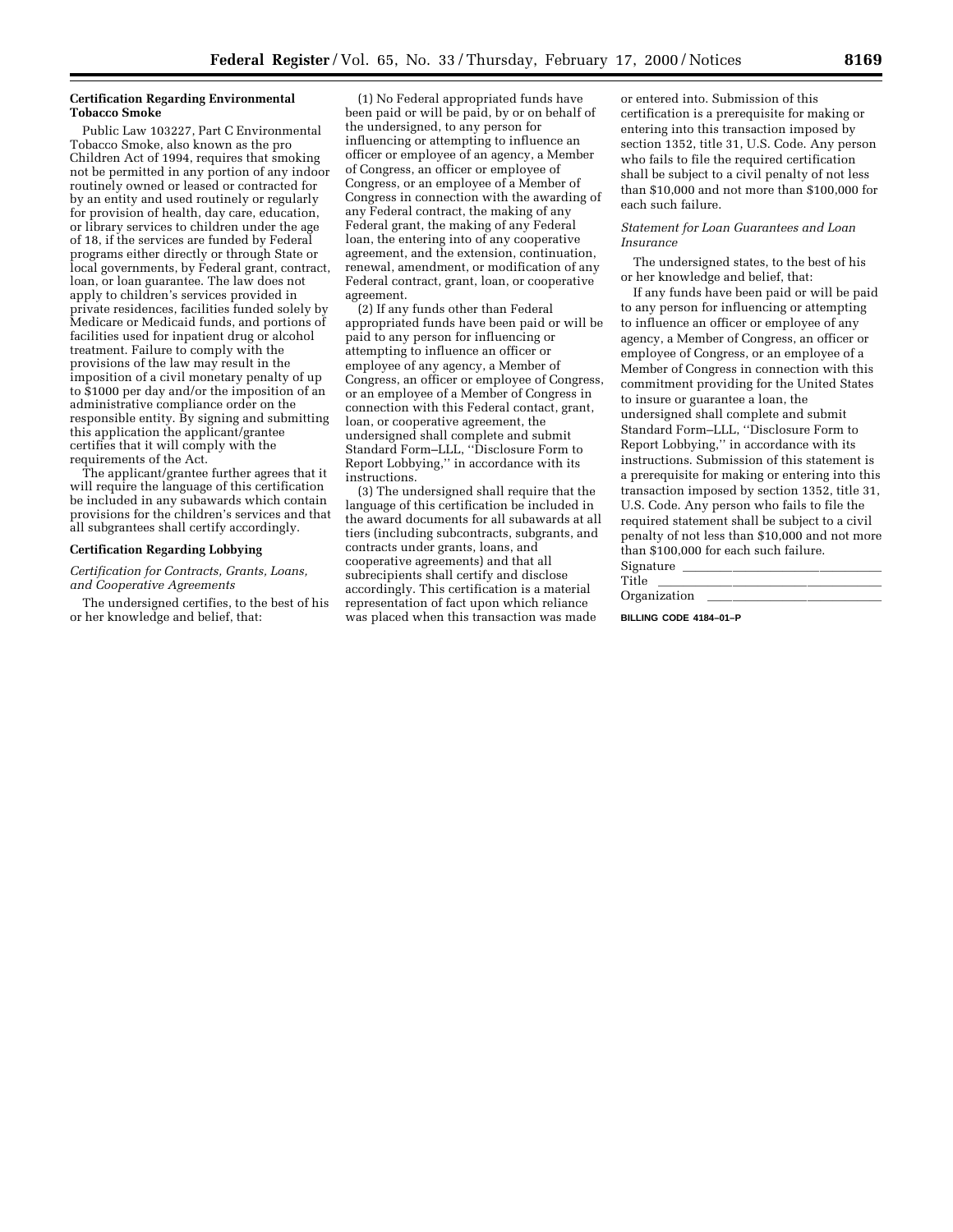#### **Certification Regarding Environmental Tobacco Smoke**

Public Law 103227, Part C Environmental Tobacco Smoke, also known as the pro Children Act of 1994, requires that smoking not be permitted in any portion of any indoor routinely owned or leased or contracted for by an entity and used routinely or regularly for provision of health, day care, education, or library services to children under the age of 18, if the services are funded by Federal programs either directly or through State or local governments, by Federal grant, contract, loan, or loan guarantee. The law does not apply to children's services provided in private residences, facilities funded solely by Medicare or Medicaid funds, and portions of facilities used for inpatient drug or alcohol treatment. Failure to comply with the provisions of the law may result in the imposition of a civil monetary penalty of up to \$1000 per day and/or the imposition of an administrative compliance order on the responsible entity. By signing and submitting this application the applicant/grantee certifies that it will comply with the requirements of the Act.

The applicant/grantee further agrees that it will require the language of this certification be included in any subawards which contain provisions for the children's services and that all subgrantees shall certify accordingly.

### **Certification Regarding Lobbying**

*Certification for Contracts, Grants, Loans, and Cooperative Agreements*

The undersigned certifies, to the best of his or her knowledge and belief, that:

(1) No Federal appropriated funds have been paid or will be paid, by or on behalf of the undersigned, to any person for influencing or attempting to influence an officer or employee of an agency, a Member of Congress, an officer or employee of Congress, or an employee of a Member of Congress in connection with the awarding of any Federal contract, the making of any Federal grant, the making of any Federal loan, the entering into of any cooperative agreement, and the extension, continuation, renewal, amendment, or modification of any Federal contract, grant, loan, or cooperative agreement.

(2) If any funds other than Federal appropriated funds have been paid or will be paid to any person for influencing or attempting to influence an officer or employee of any agency, a Member of Congress, an officer or employee of Congress, or an employee of a Member of Congress in connection with this Federal contact, grant, loan, or cooperative agreement, the undersigned shall complete and submit Standard Form–LLL, ''Disclosure Form to Report Lobbying,'' in accordance with its instructions.

(3) The undersigned shall require that the language of this certification be included in the award documents for all subawards at all tiers (including subcontracts, subgrants, and contracts under grants, loans, and cooperative agreements) and that all subrecipients shall certify and disclose accordingly. This certification is a material representation of fact upon which reliance was placed when this transaction was made

or entered into. Submission of this certification is a prerequisite for making or entering into this transaction imposed by section 1352, title 31, U.S. Code. Any person who fails to file the required certification shall be subject to a civil penalty of not less than \$10,000 and not more than \$100,000 for each such failure.

#### *Statement for Loan Guarantees and Loan Insurance*

The undersigned states, to the best of his or her knowledge and belief, that:

If any funds have been paid or will be paid to any person for influencing or attempting to influence an officer or employee of any agency, a Member of Congress, an officer or employee of Congress, or an employee of a Member of Congress in connection with this commitment providing for the United States to insure or guarantee a loan, the undersigned shall complete and submit Standard Form–LLL, ''Disclosure Form to Report Lobbying,'' in accordance with its instructions. Submission of this statement is a prerequisite for making or entering into this transaction imposed by section 1352, title 31, U.S. Code. Any person who fails to file the required statement shall be subject to a civil penalty of not less than \$10,000 and not more than \$100,000 for each such failure. Signature

Title llllllllllllllllll

Organization

**BILLING CODE 4184–01–P**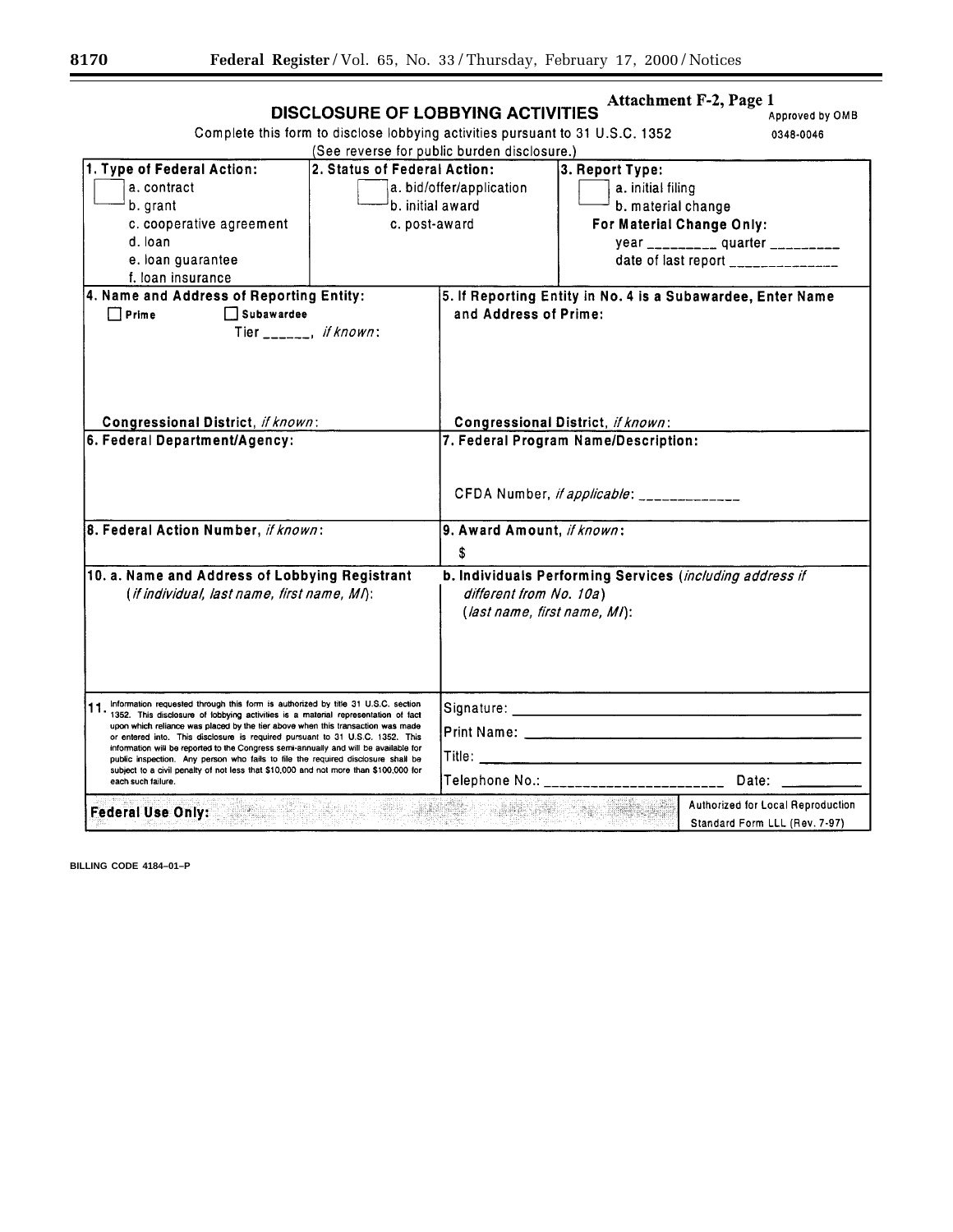$\equiv$ 

|                                                                                                                                                                       |                                           |                                         | Attachment F-2, Page 1                                      |
|-----------------------------------------------------------------------------------------------------------------------------------------------------------------------|-------------------------------------------|-----------------------------------------|-------------------------------------------------------------|
| <b>DISCLOSURE OF LOBBYING ACTIVITIES</b>                                                                                                                              |                                           |                                         | Approved by OMB                                             |
| Complete this form to disclose lobbying activities pursuant to 31 U.S.C. 1352                                                                                         |                                           |                                         | 0348-0046                                                   |
| (See reverse for public burden disclosure.)                                                                                                                           |                                           |                                         |                                                             |
| 1. Type of Federal Action:<br>2. Status of Federal Action:                                                                                                            |                                           | 3. Report Type:                         |                                                             |
| a. contract                                                                                                                                                           | a. bid/offer/application                  | a. initial filing                       |                                                             |
| b. grant<br>$^{\text{I}}$ b. initial award                                                                                                                            |                                           | b. material change                      |                                                             |
| c. cooperative agreement<br>c. post-award                                                                                                                             |                                           | For Material Change Only:               |                                                             |
| d. Ioan                                                                                                                                                               |                                           |                                         | year __________ quarter _________                           |
| e. loan guarantee                                                                                                                                                     |                                           |                                         | date of last report $\frac{1}{2}$                           |
| f. loan insurance                                                                                                                                                     |                                           |                                         |                                                             |
| 4. Name and Address of Reporting Entity:                                                                                                                              |                                           |                                         | 5. If Reporting Entity in No. 4 is a Subawardee, Enter Name |
| $\Box$ Subawardee<br>$\Box$ Prime<br>Tier _______, if known:                                                                                                          | and Address of Prime:                     |                                         |                                                             |
|                                                                                                                                                                       |                                           |                                         |                                                             |
|                                                                                                                                                                       |                                           |                                         |                                                             |
|                                                                                                                                                                       |                                           |                                         |                                                             |
|                                                                                                                                                                       |                                           |                                         |                                                             |
| Congressional District, if known:                                                                                                                                     |                                           | Congressional District, if known:       |                                                             |
| 6. Federal Department/Agency:                                                                                                                                         |                                           | 7. Federal Program Name/Description:    |                                                             |
|                                                                                                                                                                       |                                           |                                         |                                                             |
|                                                                                                                                                                       |                                           |                                         |                                                             |
|                                                                                                                                                                       | CFDA Number, if applicable: _____________ |                                         |                                                             |
|                                                                                                                                                                       |                                           |                                         |                                                             |
| 8. Federal Action Number, if known:                                                                                                                                   | 9. Award Amount, if known:                |                                         |                                                             |
|                                                                                                                                                                       | \$                                        |                                         |                                                             |
| 10. a. Name and Address of Lobbying Registrant                                                                                                                        |                                           |                                         | b. Individuals Performing Services (including address if    |
| (if individual, last name, first name, MI):                                                                                                                           | different from No. 10a)                   |                                         |                                                             |
|                                                                                                                                                                       | (last name, first name, MI):              |                                         |                                                             |
|                                                                                                                                                                       |                                           |                                         |                                                             |
|                                                                                                                                                                       |                                           |                                         |                                                             |
|                                                                                                                                                                       |                                           |                                         |                                                             |
|                                                                                                                                                                       |                                           |                                         |                                                             |
| Information requested through this form is authorized by title 31 U.S.C. section                                                                                      |                                           |                                         |                                                             |
| 1352. This disclosure of lobbying activities is a material representation of fact<br>upon which reliance was placed by the tier above when this transaction was made  |                                           |                                         |                                                             |
| or entered into. This disclosure is required pursuant to 31 U.S.C. 1352. This<br>information will be reported to the Congress semi-annually and will be available for |                                           |                                         |                                                             |
| public inspection. Any person who fails to file the required disclosure shall be                                                                                      |                                           |                                         |                                                             |
| subject to a civil penalty of not less that \$10,000 and not more than \$100,000 for<br>each such failure.                                                            |                                           | Telephone No.: ________________________ | Date:                                                       |
|                                                                                                                                                                       |                                           |                                         | Authorized for Local Reproduction                           |
| <b>Federal Use Only:</b>                                                                                                                                              |                                           |                                         | Standard Form LLL (Rev. 7-97)                               |

**BILLING CODE 4184–01–P**

Ξ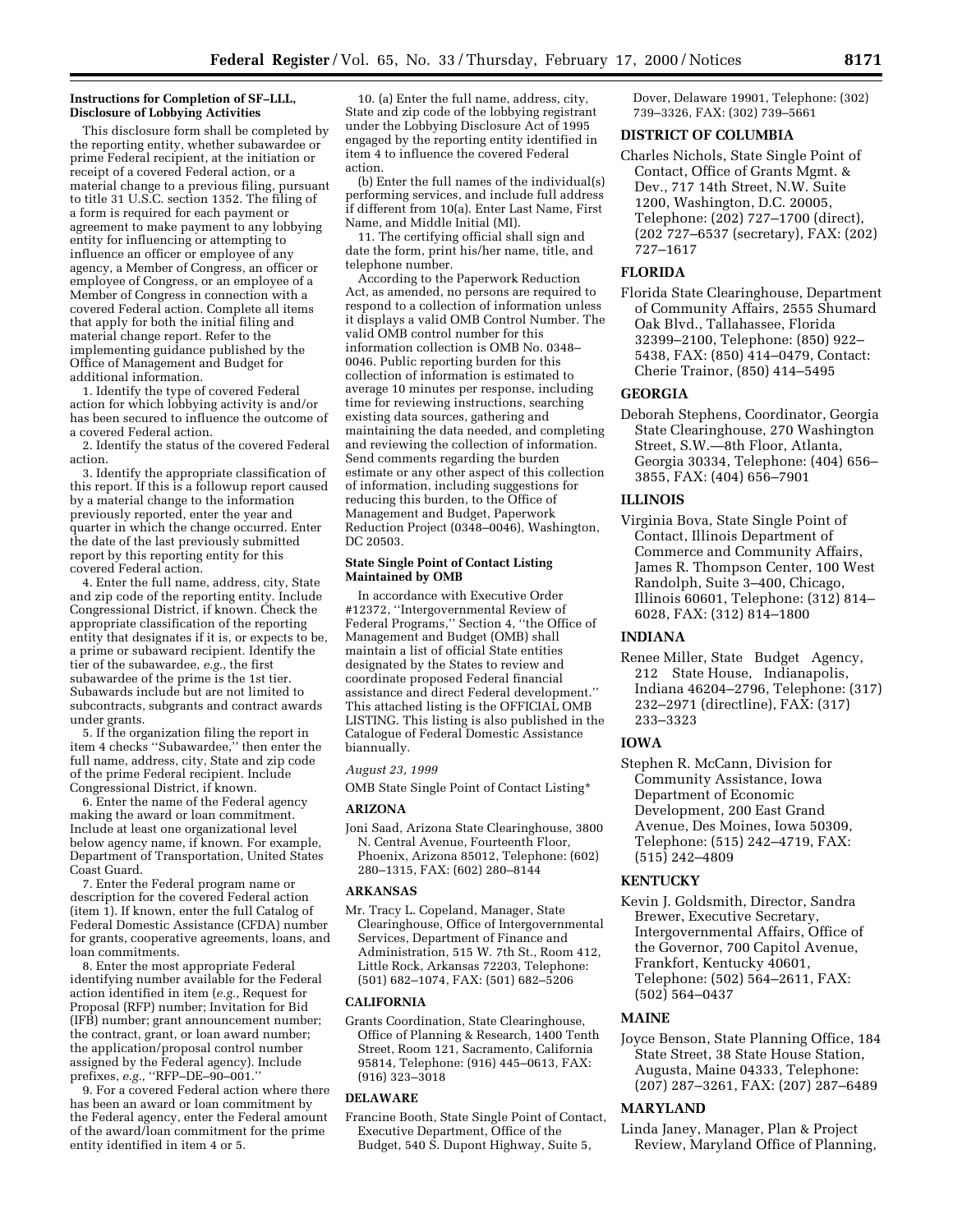#### **Instructions for Completion of SF–LLL, Disclosure of Lobbying Activities**

This disclosure form shall be completed by the reporting entity, whether subawardee or prime Federal recipient, at the initiation or receipt of a covered Federal action, or a material change to a previous filing, pursuant to title 31 U.S.C. section 1352. The filing of a form is required for each payment or agreement to make payment to any lobbying entity for influencing or attempting to influence an officer or employee of any agency, a Member of Congress, an officer or employee of Congress, or an employee of a Member of Congress in connection with a covered Federal action. Complete all items that apply for both the initial filing and material change report. Refer to the implementing guidance published by the Office of Management and Budget for additional information.

1. Identify the type of covered Federal action for which lobbying activity is and/or has been secured to influence the outcome of a covered Federal action.

2. Identify the status of the covered Federal action.

3. Identify the appropriate classification of this report. If this is a followup report caused by a material change to the information previously reported, enter the year and quarter in which the change occurred. Enter the date of the last previously submitted report by this reporting entity for this covered Federal action.

4. Enter the full name, address, city, State and zip code of the reporting entity. Include Congressional District, if known. Check the appropriate classification of the reporting entity that designates if it is, or expects to be, a prime or subaward recipient. Identify the tier of the subawardee, *e.g.,* the first subawardee of the prime is the 1st tier. Subawards include but are not limited to subcontracts, subgrants and contract awards under grants.

5. If the organization filing the report in item 4 checks ''Subawardee,'' then enter the full name, address, city, State and zip code of the prime Federal recipient. Include Congressional District, if known.

6. Enter the name of the Federal agency making the award or loan commitment. Include at least one organizational level below agency name, if known. For example, Department of Transportation, United States Coast Guard.

7. Enter the Federal program name or description for the covered Federal action (item 1). If known, enter the full Catalog of Federal Domestic Assistance (CFDA) number for grants, cooperative agreements, loans, and loan commitments.

8. Enter the most appropriate Federal identifying number available for the Federal action identified in item (*e.g.,* Request for Proposal (RFP) number; Invitation for Bid (IFB) number; grant announcement number; the contract, grant, or loan award number; the application/proposal control number assigned by the Federal agency). Include prefixes, *e.g.*, "RFP-DE-90-001.'

9. For a covered Federal action where there has been an award or loan commitment by the Federal agency, enter the Federal amount of the award/loan commitment for the prime entity identified in item 4 or 5.

10. (a) Enter the full name, address, city, State and zip code of the lobbying registrant under the Lobbying Disclosure Act of 1995 engaged by the reporting entity identified in item 4 to influence the covered Federal action.

(b) Enter the full names of the individual(s) performing services, and include full address if different from 10(a). Enter Last Name, First Name, and Middle Initial (MI).

11. The certifying official shall sign and date the form, print his/her name, title, and telephone number.

According to the Paperwork Reduction Act, as amended, no persons are required to respond to a collection of information unless it displays a valid OMB Control Number. The valid OMB control number for this information collection is OMB No. 0348– 0046. Public reporting burden for this collection of information is estimated to average 10 minutes per response, including time for reviewing instructions, searching existing data sources, gathering and maintaining the data needed, and completing and reviewing the collection of information. Send comments regarding the burden estimate or any other aspect of this collection of information, including suggestions for reducing this burden, to the Office of Management and Budget, Paperwork Reduction Project (0348–0046), Washington, DC 20503.

### **State Single Point of Contact Listing Maintained by OMB**

In accordance with Executive Order #12372, ''Intergovernmental Review of Federal Programs,'' Section 4, ''the Office of Management and Budget (OMB) shall maintain a list of official State entities designated by the States to review and coordinate proposed Federal financial assistance and direct Federal development.'' This attached listing is the OFFICIAL OMB LISTING. This listing is also published in the Catalogue of Federal Domestic Assistance biannually.

*August 23, 1999*

OMB State Single Point of Contact Listing\*

### **ARIZONA**

Joni Saad, Arizona State Clearinghouse, 3800 N. Central Avenue, Fourteenth Floor, Phoenix, Arizona 85012, Telephone: (602) 280–1315, FAX: (602) 280–8144

#### **ARKANSAS**

Mr. Tracy L. Copeland, Manager, State Clearinghouse, Office of Intergovernmental Services, Department of Finance and Administration, 515 W. 7th St., Room 412, Little Rock, Arkansas 72203, Telephone: (501) 682–1074, FAX: (501) 682–5206

## **CALIFORNIA**

Grants Coordination, State Clearinghouse, Office of Planning & Research, 1400 Tenth Street, Room 121, Sacramento, California 95814, Telephone: (916) 445–0613, FAX: (916) 323–3018

## **DELAWARE**

Francine Booth, State Single Point of Contact, Executive Department, Office of the Budget, 540 S. Dupont Highway, Suite 5,

Dover, Delaware 19901, Telephone: (302) 739–3326, FAX: (302) 739–5661

## **DISTRICT OF COLUMBIA**

Charles Nichols, State Single Point of Contact, Office of Grants Mgmt. & Dev., 717 14th Street, N.W. Suite 1200, Washington, D.C. 20005, Telephone: (202) 727–1700 (direct), (202 727–6537 (secretary), FAX: (202) 727–1617

### **FLORIDA**

Florida State Clearinghouse, Department of Community Affairs, 2555 Shumard Oak Blvd., Tallahassee, Florida 32399–2100, Telephone: (850) 922– 5438, FAX: (850) 414–0479, Contact: Cherie Trainor, (850) 414–5495

## **GEORGIA**

Deborah Stephens, Coordinator, Georgia State Clearinghouse, 270 Washington Street, S.W.—8th Floor, Atlanta, Georgia 30334, Telephone: (404) 656– 3855, FAX: (404) 656–7901

## **ILLINOIS**

Virginia Bova, State Single Point of Contact, Illinois Department of Commerce and Community Affairs, James R. Thompson Center, 100 West Randolph, Suite 3–400, Chicago, Illinois 60601, Telephone: (312) 814– 6028, FAX: (312) 814–1800

### **INDIANA**

Renee Miller, State Budget Agency, 212 State House, Indianapolis, Indiana 46204–2796, Telephone: (317) 232–2971 (directline), FAX: (317) 233–3323

### **IOWA**

Stephen R. McCann, Division for Community Assistance, Iowa Department of Economic Development, 200 East Grand Avenue, Des Moines, Iowa 50309, Telephone: (515) 242–4719, FAX: (515) 242–4809

### **KENTUCKY**

Kevin J. Goldsmith, Director, Sandra Brewer, Executive Secretary, Intergovernmental Affairs, Office of the Governor, 700 Capitol Avenue, Frankfort, Kentucky 40601, Telephone: (502) 564–2611, FAX: (502) 564–0437

## **MAINE**

Joyce Benson, State Planning Office, 184 State Street, 38 State House Station, Augusta, Maine 04333, Telephone: (207) 287–3261, FAX: (207) 287–6489

## **MARYLAND**

Linda Janey, Manager, Plan & Project Review, Maryland Office of Planning,